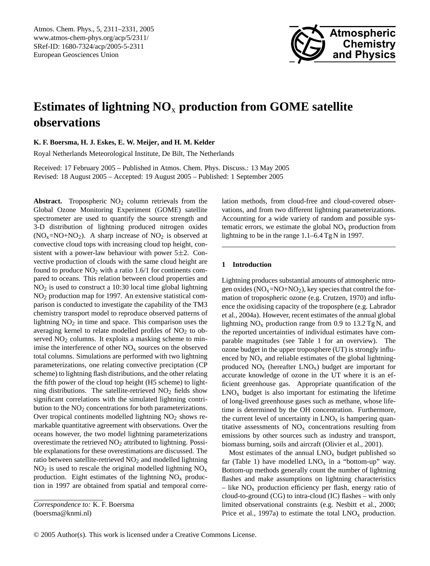

# **Estimates of lightning NO**<sup>x</sup> **production from GOME satellite observations**

**K. F. Boersma, H. J. Eskes, E. W. Meijer, and H. M. Kelder**

Royal Netherlands Meteorological Institute, De Bilt, The Netherlands

Received: 17 February 2005 – Published in Atmos. Chem. Phys. Discuss.: 13 May 2005 Revised: 18 August 2005 – Accepted: 19 August 2005 – Published: 1 September 2005

**Abstract.** Tropospheric  $NO<sub>2</sub>$  column retrievals from the Global Ozone Monitoring Experiment (GOME) satellite spectrometer are used to quantify the source strength and 3-D distribution of lightning produced nitrogen oxides  $(NO<sub>x</sub>=NO+NO<sub>2</sub>)$ . A sharp increase of  $NO<sub>2</sub>$  is observed at convective cloud tops with increasing cloud top height, consistent with a power-law behaviour with power  $5\pm 2$ . Convective production of clouds with the same cloud height are found to produce  $NO<sub>2</sub>$  with a ratio 1.6/1 for continents compared to oceans. This relation between cloud properties and NO<sup>2</sup> is used to construct a 10:30 local time global lightning NO<sup>2</sup> production map for 1997. An extensive statistical comparison is conducted to investigate the capability of the TM3 chemistry transport model to reproduce observed patterns of lightning  $NO<sub>2</sub>$  in time and space. This comparison uses the averaging kernel to relate modelled profiles of  $NO<sub>2</sub>$  to observed NO<sub>2</sub> columns. It exploits a masking scheme to minimise the interference of other  $NO<sub>x</sub>$  sources on the observed total columns. Simulations are performed with two lightning parameterizations, one relating convective preciptation (CP scheme) to lightning flash distributions, and the other relating the fifth power of the cloud top height (H5 scheme) to lightning distributions. The satellite-retrieved  $NO<sub>2</sub>$  fields show significant correlations with the simulated lightning contribution to the  $NO<sub>2</sub>$  concentrations for both parameterizations. Over tropical continents modelled lightning  $NO<sub>2</sub>$  shows remarkable quantitative agreement with observations. Over the oceans however, the two model lightning parameterizations overestimate the retrieved  $NO<sub>2</sub>$  attributed to lightning. Possible explanations for these overestimations are discussed. The ratio between satellite-retrieved  $NO<sub>2</sub>$  and modelled lightning  $NO<sub>2</sub>$  is used to rescale the original modelled lightning  $NO<sub>x</sub>$ production. Eight estimates of the lightning  $NO<sub>x</sub>$  production in 1997 are obtained from spatial and temporal correlation methods, from cloud-free and cloud-covered observations, and from two different lightning parameterizations. Accounting for a wide variety of random and possible systematic errors, we estimate the global  $NO<sub>x</sub>$  production from lightning to be in the range 1.1–6.4 Tg N in 1997.

#### **1 Introduction**

Lightning produces substantial amounts of atmospheric ntrogen oxides  $(NO<sub>x</sub>=NO+NO<sub>2</sub>)$ , key species that control the formation of tropospheric ozone (e.g. [Crutzen,](#page-18-0) [1970\)](#page-18-0) and influence the oxidising capacity of the troposphere (e.g. [Labrador](#page-19-0) [et al.,](#page-19-0) [2004a\)](#page-19-0). However, recent estimates of the annual global lightning  $NO<sub>x</sub>$  production range from 0.9 to 13.2 Tg N, and the reported uncertainties of individual estimates have comparable magnitudes (see Table 1 for an overview). The ozone budget in the upper troposphere (UT) is strongly influenced by  $NO<sub>x</sub>$  and reliable estimates of the global lightningproduced  $NO<sub>x</sub>$  (hereafter  $LNO<sub>x</sub>$ ) budget are important for accurate knowledge of ozone in the UT where it is an efficient greenhouse gas. Appropriate quantification of the  $LNO<sub>x</sub>$  budget is also important for estimating the lifetime of long-lived greenhouse gases such as methane, whose lifetime is determined by the OH concentration. Furthermore, the current level of uncertainty in  $LNO<sub>x</sub>$  is hampering quantitative assessments of  $NO<sub>x</sub>$  concentrations resulting from emissions by other sources such as industry and transport, biomass burning, soils and aircraft [\(Olivier et al.,](#page-19-1) [2001\)](#page-19-1).

Most estimates of the annual  $LNO<sub>x</sub>$  budget published so far (Table 1) have modelled  $LNO<sub>x</sub>$  in a "bottom-up" way. Bottom-up methods generally count the number of lightning flashes and make assumptions on lightning characteristics – like  $NO<sub>x</sub>$  production efficiency per flash, energy ratio of cloud-to-ground (CG) to intra-cloud (IC) flashes – with only limited observational constraints (e.g. [Nesbitt et al.,](#page-19-2) [2000;](#page-19-2) [Price et al.,](#page-19-3) [1997a\)](#page-19-3) to estimate the total  $LNO<sub>x</sub>$  production.

<span id="page-0-0"></span>*Correspondence to:* K. F. Boersma (boersma@knmi.nl)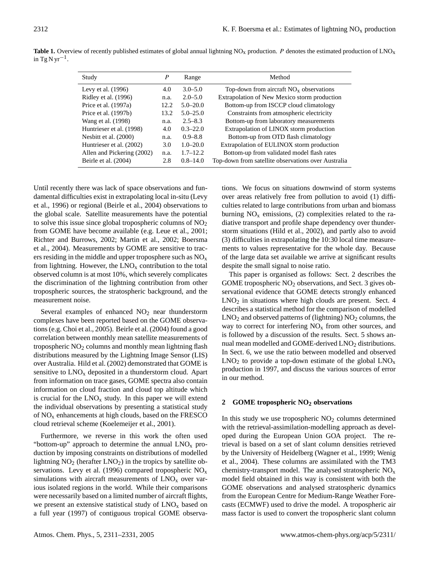| Study                      | P    | Range        | Method                                              |
|----------------------------|------|--------------|-----------------------------------------------------|
| Levy et al. $(1996)$       | 4.0  | $3.0 - 5.0$  | Top-down from aircraft $NOx$ observations           |
| Ridley et al. (1996)       | n.a. | $2.0 - 5.0$  | Extrapolation of New Mexico storm production        |
| Price et al. (1997a)       | 12.2 | $5.0 - 20.0$ | Bottom-up from ISCCP cloud climatology              |
| Price et al. (1997b)       | 13.2 | $5.0 - 25.0$ | Constraints from atmospheric electricity            |
| Wang et al. (1998)         | n.a. | $2.5 - 8.3$  | Bottom-up from laboratory measurements              |
| Huntrieser et al. (1998)   | 4.0  | $0.3 - 22.0$ | Extrapolation of LINOX storm production             |
| Nesbitt et al. (2000)      | n.a. | $0.9 - 8.8$  | Bottom-up from OTD flash climatology                |
| Huntrieser et al. (2002)   | 3.0  | $1.0 - 20.0$ | Extrapolation of EULINOX storm production           |
| Allen and Pickering (2002) | n.a. | $1.7 - 12.2$ | Bottom-up from validated model flash rates          |
| Beirle et al. (2004)       | 2.8  | $0.8 - 14.0$ | Top-down from satellite observations over Australia |

**Table 1.** Overview of recently published estimates of global annual lightning NO<sub>x</sub> production. P denotes the estimated production of LNO<sub>x</sub> in Tg N yr<sup>-1</sup>.

Until recently there was lack of space observations and fundamental difficulties exist in extrapolating local in-situ [\(Levy](#page-19-4) [et al.,](#page-19-4) [1996\)](#page-19-4) or regional [\(Beirle et al.,](#page-18-4) [2004\)](#page-18-4) observations to the global scale. Satellite measurements have the potential to solve this issue since global tropospheric columns of  $NO<sub>2</sub>$ from GOME have become available (e.g. [Leue et al.,](#page-19-7) [2001;](#page-19-7) [Richter and Burrows,](#page-19-8) [2002;](#page-19-8) [Martin et al.,](#page-19-9) [2002;](#page-19-9) [Boersma](#page-18-5) [et al.,](#page-18-5) [2004\)](#page-18-5). Measurements by GOME are sensitive to tracers residing in the middle and upper troposphere such as  $NO<sub>x</sub>$ from lightning. However, the  $LNO<sub>x</sub>$  contribution to the total observed column is at most 10%, which severely complicates the discrimination of the lightning contribution from other tropospheric sources, the stratospheric background, and the measurement noise.

Several examples of enhanced  $NO<sub>2</sub>$  near thunderstorm complexes have been reported based on the GOME observations (e.g. [Choi et al.,](#page-18-6) [2005\)](#page-18-6). [Beirle et al.](#page-18-4) [\(2004\)](#page-18-4) found a good correlation between monthly mean satellite measurements of tropospheric  $NO<sub>2</sub>$  columns and monthly mean lightning flash distributions measured by the Lightning Image Sensor (LIS) over Australia. [Hild et al.](#page-18-7) [\(2002\)](#page-18-7) demonstrated that GOME is sensitive to  $LNO<sub>x</sub>$  deposited in a thunderstorm cloud. Apart from information on trace gases, GOME spectra also contain information on cloud fraction and cloud top altitude which is crucial for the  $LNO<sub>x</sub>$  study. In this paper we will extend the individual observations by presenting a statistical study of  $NO<sub>x</sub>$  enhancements at high clouds, based on the FRESCO cloud retrieval scheme [\(Koelemeijer et al.,](#page-19-10) [2001\)](#page-19-10).

Furthermore, we reverse in this work the often used "bottom-up" approach to determine the annual  $LNO<sub>x</sub>$  production by imposing constraints on distributions of modelled lightning  $NO<sub>2</sub>$  (herafter  $LNO<sub>2</sub>$ ) in the tropics by satellite ob-servations. [Levy et al.](#page-19-4) [\(1996\)](#page-19-4) compared tropospheric  $NO<sub>x</sub>$ simulations with aircraft measurements of  $LNO<sub>x</sub>$  over various isolated regions in the world. While their comparisons were necessarily based on a limited number of aircraft flights, we present an extensive statistical study of  $LNO<sub>x</sub>$  based on a full year (1997) of contiguous tropical GOME observations. We focus on situations downwind of storm systems over areas relatively free from pollution to avoid (1) difficulties related to large contributions from urban and biomass burning  $NO<sub>x</sub>$  emissions, (2) complexities related to the radiative transport and profile shape dependency over thunderstorm situations [\(Hild et al.,](#page-18-7) [2002\)](#page-18-7), and partly also to avoid (3) difficulties in extrapolating the 10:30 local time measurements to values representative for the whole day. Because of the large data set available we arrive at significant results despite the small signal to noise ratio.

This paper is organised as follows: Sect. [2](#page-1-0) describes the GOME tropospheric  $NO<sub>2</sub>$  observations, and Sect. [3](#page-3-0) gives observational evidence that GOME detects strongly enhanced  $LNO<sub>2</sub>$  in situations where high clouds are present. Sect. [4](#page-5-0) describes a statistical method for the comparison of modelled  $LNO<sub>2</sub>$  and observed patterns of (lightning)  $NO<sub>2</sub>$  columns, the way to correct for interfering  $NO<sub>x</sub>$  from other sources, and is followed by a discussion of the results. Sect. [5](#page-11-0) shows annual mean modelled and GOME-derived LNO<sub>2</sub> distributions. In Sect. [6,](#page-11-1) we use the ratio between modelled and observed  $LNO<sub>2</sub>$  to provide a top-down estimate of the global  $LNO<sub>x</sub>$ production in 1997, and discuss the various sources of error in our method.

# <span id="page-1-0"></span>**2 GOME tropospheric NO<sup>2</sup> observations**

In this study we use tropospheric  $NO<sub>2</sub>$  columns determined with the retrieval-assimilation-modelling approach as developed during the European Union GOA project. The retrieval is based on a set of slant column densities retrieved by the University of Heidelberg [\(Wagner et al.,](#page-19-11) [1999;](#page-19-11) [Wenig](#page-20-1) [et al.,](#page-20-1) [2004\)](#page-20-1). These columns are assimilated with the TM3 chemistry-transport model. The analysed stratospheric  $NO<sub>x</sub>$ model field obtained in this way is consistent with both the GOME observations and analysed stratospheric dynamics from the European Centre for Medium-Range Weather Forecasts (ECMWF) used to drive the model. A tropospheric air mass factor is used to convert the tropospheric slant column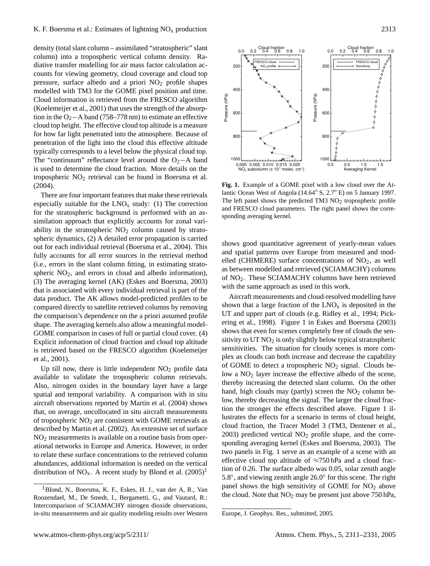density (total slant column – assimilated "stratospheric" slant column) into a tropospheric vertical column density. Radiative transfer modelling for air mass factor calculation accounts for viewing geometry, cloud coverage and cloud top pressure, surface albedo and a priori  $NO<sub>2</sub>$  profile shapes modelled with TM3 for the GOME pixel position and time. Cloud information is retrieved from the FRESCO algorithm [\(Koelemeijer et al.,](#page-19-10) [2001\)](#page-19-10) that uses the strength of the absorption in the O<sub>2</sub>−A band (758–778 nm) to estimate an effective cloud top height. The effective cloud top altitude is a measure for how far light penetrated into the atmosphere. Because of penetration of the light into the cloud this effective altitude typically corresponds to a level below the physical cloud top. The "continuum" reflectance level around the  $O_2$ −A band is used to determine the cloud fraction. More details on the tropospheric NO<sup>2</sup> retrieval can be found in [Boersma et al.](#page-18-5) [\(2004\)](#page-18-5).

There are four important features that make these retrievals especially suitable for the  $LNO<sub>x</sub>$  study: (1) The correction for the stratospheric background is performed with an assimilation approach that explicitly accounts for zonal variability in the stratospheric  $NO<sub>2</sub>$  column caused by stratospheric dynamics, (2) A detailed error propagation is carried out for each individual retrieval [\(Boersma et al.,](#page-18-5) [2004\)](#page-18-5). This fully accounts for all error sources in the retrieval method (i.e., errors in the slant column fitting, in estimating stratospheric  $NO<sub>2</sub>$ , and errors in cloud and albedo information), (3) The averaging kernel (AK) [\(Eskes and Boersma,](#page-18-8) [2003\)](#page-18-8) that is associated with every individual retrieval is part of the data product. The AK allows model-predicted profiles to be compared directly to satellite retrieved columns by removing the comparison's dependence on the a priori assumed profile shape. The averaging kernels also allow a meaningful model-GOME comparison in cases of full or partial cloud cover. (4) Explicit information of cloud fraction and cloud top altitude is retrieved based on the FRESCO algorithm [\(Koelemeijer](#page-19-10) [et al.,](#page-19-10) [2001\)](#page-19-10).

Up till now, there is little independent  $NO<sub>2</sub>$  profile data available to validate the tropospheric column retrievals. Also, nitrogen oxides in the boundary layer have a large spatial and temporal variability. A comparison with in situ aircraft observations reported by [Martin et al.](#page-19-12) [\(2004\)](#page-19-12) shows that, on average, uncollocated in situ aircraft measurements of tropospheric  $NO<sub>2</sub>$  are consistent with GOME retrievals as described by [Martin et al.](#page-19-9) [\(2002\)](#page-19-9). An extensive set of surface NO<sup>2</sup> measurements is available on a routine basis from operational networks in Europe and America. However, in order to relate these surface concentrations to the retrieved column abundances, additional information is needed on the vertical distribution of NO<sub>x</sub>. A recent study by Blond et al.  $(2005)^{1}$  $(2005)^{1}$  $(2005)^{1}$ 



1000L<br>0.0

800

0.0 0.5 1.0 1.5 Averaging Kernel

<span id="page-2-1"></span>**Fig. 1.** Example of a GOME pixel with a low cloud over the Atlantic Ocean West of Angola (14.64◦ S, 2.7◦ E) on 5 January 1997. The left panel shows the predicted TM3  $NO<sub>2</sub>$  tropospheric profile and FRESCO cloud parameters. The right panel shows the corresponding averaging kernel.

0.000 0.005 0.010 0.015 0.020  $NO<sub>2</sub>$  subcolumn (x 10<sup>15</sup> molec. cm<sup>2</sup>)

1000

800

600

Pressure (hPa)

Pressure (hPa)

400

20

shows good quantitative agreement of yearly-mean values and spatial patterns over Europe from measured and modelled (CHIMERE) surface concentrations of  $NO<sub>2</sub>$ , as well as between modelled and retrieved (SCIAMACHY) columns of NO2. These SCIAMACHY columns have been retrieved with the same approach as used in this work.

Aircraft measurements and cloud-resolved modelling have shown that a large fraction of the  $LNO<sub>x</sub>$  is deposited in the UT and upper part of clouds (e.g. [Ridley et al.,](#page-19-13) [1994;](#page-19-13) [Pick](#page-19-14)[ering et al.,](#page-19-14) [1998\)](#page-19-14). Figure 1 in [Eskes and Boersma](#page-18-8) [\(2003\)](#page-18-8) shows that even for scenes completely free of clouds the sensitivity to  $UT NO<sub>2</sub>$  is only slightly below typical stratospheric sensitivities. The situation for cloudy scenes is more complex as clouds can both increase and decrease the capability of GOME to detect a tropospheric  $NO<sub>2</sub>$  signal. Clouds below a  $NO<sub>2</sub>$  layer increase the effective albedo of the scene, thereby increasing the detected slant column. On the other hand, high clouds may (partly) screen the  $NO<sub>2</sub>$  column below, thereby decreasing the signal. The larger the cloud fraction the stronger the effects described above. Figure [1](#page-2-1) illustrates the effects for a scenario in terms of cloud height, cloud fraction, the Tracer Model 3 (TM3, [Dentener et al.,](#page-18-9)  $2003$ ) predicted vertical  $NO<sub>2</sub>$  profile shape, and the corresponding averaging kernel [\(Eskes and Boersma,](#page-18-8) [2003\)](#page-18-8). The two panels in Fig. [1](#page-2-1) serve as an example of a scene with an effective cloud top altitude of ≈750 hPa and a cloud fraction of 0.26. The surface albedo was 0.05, solar zenith angle 5.8°, and viewing zenith angle 26.0° for this scene. The right panel shows the high sensitivity of GOME for  $NO<sub>2</sub>$  above the cloud. Note that  $NO<sub>2</sub>$  may be present just above 750 hPa,

<span id="page-2-0"></span><sup>1</sup>Blond, N., Boersma, K. F., Eskes, H. J., van der A, R., Van Roozendael, M., De Smedt, I., Bergametti, G., and Vautard, R.: Intercomparison of SCIAMACHY nitrogen dioxide observations, in-situ measurements and air quality modeling results over Western

Europe, J. Geophys. Res., submitted, 2005.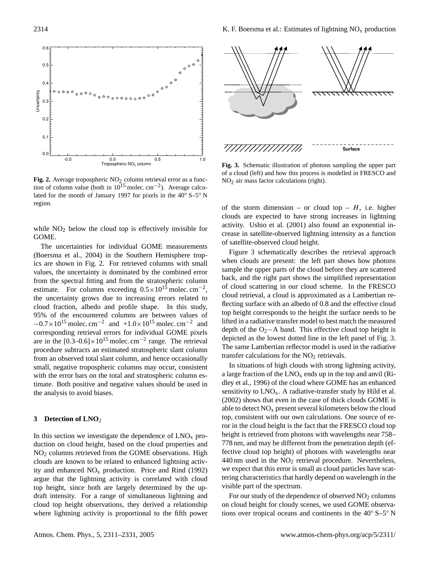

<span id="page-3-1"></span>**Fig. 2.** Average tropospheric  $NO<sub>2</sub>$  column retrieval error as a function of column value (both in  $10^{15}$  molec. cm<sup>-2</sup>). Average calculated for the month of January 1997 for pixels in the 40◦ S–5◦ N region.

while  $NO<sub>2</sub>$  below the cloud top is effectively invisible for GOME.

The uncertainties for individual GOME measurements [\(Boersma et al.,](#page-18-5) [2004\)](#page-18-5) in the Southern Hemisphere tropics are shown in Fig. [2.](#page-3-1) For retrieved columns with small values, the uncertainty is dominated by the combined error from the spectral fitting and from the stratospheric column estimate. For columns exceeding  $0.5 \times 10^{15}$  molec. cm<sup>-2</sup>, the uncertainty grows due to increasing errors related to cloud fraction, albedo and profile shape. In this study, 95% of the encountered columns are between values of  $-0.7 \times 10^{15}$  molec. cm<sup>-2</sup> and  $+1.0 \times 10^{15}$  molec. cm<sup>-2</sup> and corresponding retrieval errors for individual GOME pixels are in the  $[0.3-0.6] \times 10^{15}$  molec. cm<sup>-2</sup> range. The retrieval procedure subtracts an estimated stratospheric slant column from an observed total slant column, and hence occasionally small, negative tropospheric columns may occur, consistent with the error bars on the total and stratospheric column estimate. Both positive and negative values should be used in the analysis to avoid biases.

## <span id="page-3-0"></span>**3 Detection of LNO**<sup>2</sup>

In this section we investigate the dependence of  $LNO<sub>x</sub>$  production on cloud height, based on the cloud properties and NO<sup>2</sup> columns retrieved from the GOME observations. High clouds are known to be related to enhanced lightning activity and enhanced  $NO<sub>x</sub>$  production. [Price and Rind](#page-19-15) [\(1992\)](#page-19-15) argue that the lightning activity is correlated with cloud top height, since both are largely determined by the updraft intensity. For a range of simultaneous lightning and cloud top height observations, they derived a relationship where lightning activity is proportional to the fifth power



<span id="page-3-2"></span>**Fig. 3.** Schematic illustration of photons sampling the upper part of a cloud (left) and how this process is modelled in FRESCO and NO2 air mass factor calculations (right).

of the storm dimension – or cloud top –  $H$ , i.e. higher clouds are expected to have strong increases in lightning activity. [Ushio et al.](#page-19-16) [\(2001\)](#page-19-16) also found an exponential increase in satellite-observed lightning intensity as a function of satellite-observed cloud height.

Figure [3](#page-3-2) schematically describes the retrieval approach when clouds are present: the left part shows how photons sample the upper parts of the cloud before they are scattered back, and the right part shows the simplified representation of cloud scattering in our cloud scheme. In the FRESCO cloud retrieval, a cloud is approximated as a Lambertian reflecting surface with an albedo of 0.8 and the effective cloud top height corresponds to the height the surface needs to be lifted in a radiative transfer model to best match the measured depth of the O<sub>2</sub>−A band. This effective cloud top height is depicted as the lowest dotted line in the left panel of Fig. [3.](#page-3-2) The same Lambertian reflector model is used in the radiative transfer calculations for the  $NO<sub>2</sub>$  retrievals.

In situations of high clouds with strong lightning activity, a large fraction of the  $LNO<sub>x</sub>$  ends up in the top and anvil [\(Ri](#page-19-5)[dley et al.,](#page-19-5) [1996\)](#page-19-5) of the cloud where GOME has an enhanced sensitivity to  $LNO<sub>x</sub>$ . A radiative-transfer study by [Hild et al.](#page-18-7) [\(2002\)](#page-18-7) shows that even in the case of thick clouds GOME is able to detect  $NO<sub>x</sub>$  present several kilometers below the cloud top, consistent with our own calculations. One source of error in the cloud height is the fact that the FRESCO cloud top height is retrieved from photons with wavelengths near 758– 778 nm, and may be different from the penetration depth (effective cloud top height) of photons with wavelengths near 440 nm used in the  $NO<sub>2</sub>$  retrieval procedure. Nevertheless, we expect that this error is small as cloud particles have scattering characteristics that hardly depend on wavelength in the visible part of the spectrum.

For our study of the dependence of observed  $NO<sub>2</sub>$  columns on cloud height for cloudy scenes, we used GOME observations over tropical oceans and continents in the 40◦ S–5◦ N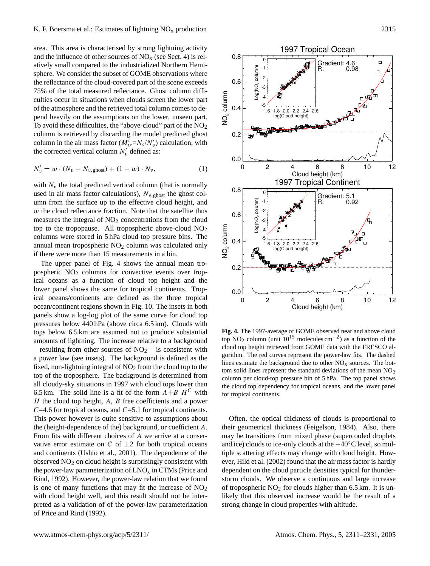area. This area is characterised by strong lightning activity and the influence of other sources of  $NO<sub>x</sub>$  (see Sect. [4\)](#page-5-0) is relatively small compared to the industrialized Northern Hemisphere. We consider the subset of GOME observations where the reflectance of the cloud-covered part of the scene exceeds 75% of the total measured reflectance. Ghost column difficulties occur in situations when clouds screen the lower part of the atmosphere and the retrieved total column comes to depend heavily on the assumptions on the lower, unseen part. To avoid these difficulties, the "above-cloud" part of the  $NO<sub>2</sub>$ column is retrieved by discarding the model predicted ghost column in the air mass factor  $(M'_{tr} = N_s/N'_v)$  calculation, with the corrected vertical column  $N_v'$  defined as:

$$
N'_{v} = w \cdot (N_{v} - N_{v, \text{ghost}}) + (1 - w) \cdot N_{v}, \tag{1}
$$

with  $N_v$  the total predicted vertical column (that is normally used in air mass factor calculations),  $N_{v, \text{ghost}}$  the ghost column from the surface up to the effective cloud height, and w the cloud reflectance fraction. Note that the satellite thus measures the integral of  $NO<sub>2</sub>$  concentrations from the cloud top to the tropopause. All tropospheric above-cloud NO<sub>2</sub> columns were stored in 5 hPa cloud top pressure bins. The annual mean tropospheric  $NO<sub>2</sub>$  column was calculated only if there were more than 15 measurements in a bin.

The upper panel of Fig. [4](#page-4-0) shows the annual mean tropospheric NO<sub>2</sub> columns for convective events over tropical oceans as a function of cloud top height and the lower panel shows the same for tropical continents. Tropical oceans/continents are defined as the three tropical ocean/continent regions shown in Fig. [10.](#page-12-0) The insets in both panels show a log-log plot of the same curve for cloud top pressures below 440 hPa (above circa 6.5 km). Clouds with tops below 6.5 km are assumed not to produce substantial amounts of lightning. The increase relative to a background – resulting from other sources of  $NO<sub>2</sub>$  – is consistent with a power law (see insets). The background is defined as the fixed, non-lightning integral of  $NO<sub>2</sub>$  from the cloud top to the top of the troposphere. The background is determined from all cloudy-sky situations in 1997 with cloud tops lower than 6.5 km. The solid line is a fit of the form  $A+B$  H<sup>C</sup> with  $H$  the cloud top height,  $A$ ,  $B$  free coefficients and a power  $C=4.6$  for tropical oceans, and  $C=5.1$  for tropical continents. This power however is quite sensitive to assumptions about the (height-dependence of the) background, or coefficient A. From fits with different choices of A we arrive at a conservative error estimate on  $C$  of  $\pm 2$  for both tropical oceans and continents [\(Ushio et al.,](#page-19-16) [2001\)](#page-19-16). The dependence of the observed  $NO<sub>2</sub>$  on cloud height is surprisingly consistent with the power-law parameterization of  $LNO<sub>x</sub>$  in CTMs [\(Price and](#page-19-15) [Rind,](#page-19-15) [1992\)](#page-19-15). However, the power-law relation that we found is one of many functions that may fit the increase of  $NO<sub>2</sub>$ with cloud height well, and this result should not be interpreted as a validation of of the power-law parameterization of [Price and Rind](#page-19-15) [\(1992\)](#page-19-15).



<span id="page-4-0"></span>**Fig. 4.** The 1997-average of GOME observed near and above cloud top NO<sub>2</sub> column (unit  $10^{15}$  molecules cm<sup>-2</sup>) as a function of the cloud top height retrieved from GOME data with the FRESCO algorithm. The red curves represent the power-law fits. The dashed lines estimate the background due to other  $NO<sub>x</sub>$  sources. The bottom solid lines represent the standard deviations of the mean  $NO<sub>2</sub>$ column per cloud-top pressure bin of 5 hPa. The top panel shows the cloud top dependency for tropical oceans, and the lower panel for tropical continents.

Often, the optical thickness of clouds is proportional to their geometrical thickness [\(Feigelson,](#page-18-10) [1984\)](#page-18-10). Also, there may be transitions from mixed phase (supercooled droplets and ice) clouds to ice-only clouds at the −40◦C level, so multiple scattering effects may change with cloud height. However, [Hild et al.](#page-18-7) [\(2002\)](#page-18-7) found that the air mass factor is hardly dependent on the cloud particle densities typical for thunderstorm clouds. We observe a continuous and large increase of tropospheric  $NO<sub>2</sub>$  for clouds higher than 6.5 km. It is unlikely that this observed increase would be the result of a strong change in cloud properties with altitude.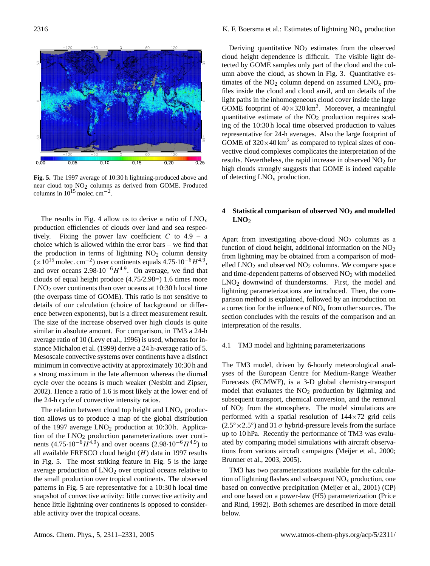

<span id="page-5-1"></span>**Fig. 5.** The 1997 average of 10:30 h lightning-produced above and near cloud top NO<sub>2</sub> columns as derived from GOME. Produced columns in  $10^{15}$  molec. cm<sup>-2</sup>.

The size of the increase observed over high clouds is quite The results in Fig. [4](#page-4-0) allow us to derive a ratio of  $LNO<sub>x</sub>$ production efficiencies of clouds over land and sea respectively. Fixing the power law coefficient  $C$  to  $4.9 - a$ choice which is allowed within the error bars – we find that the production in terms of lightning  $NO<sub>2</sub>$  column density  $(\times 10^{15} \text{ molec. cm}^{-2})$  over continents equals 4.75 $\cdot 10^{-6} H^{4.9}$ , and over oceans  $2.98 \cdot 10^{-6} H^{4.9}$ . On average, we find that clouds of equal height produce (4.75/2.98=) 1.6 times more LNO<sup>2</sup> over continents than over oceans at 10:30 h local time (the overpass time of GOME). This ratio is not sensitive to details of our calculation (choice of background or difference between exponents), but is a direct measurement result. similar in absolute amount. For comparison, in TM3 a 24-h average ratio of 10 [\(Levy et al.,](#page-19-4) [1996\)](#page-19-4) is used, whereas for instance [Michalon et al.](#page-19-17) [\(1999\)](#page-19-17) derive a 24 h-average ratio of 5. Mesoscale convective systems over continents have a distinct minimum in convective activity at approximately 10:30 h and a strong maximum in the late afternoon whereas the diurnal cycle over the oceans is much weaker [\(Nesbitt and Zipser,](#page-19-18) [2002\)](#page-19-18). Hence a ratio of 1.6 is most likely at the lower end of the 24-h cycle of convective intensity ratios.

The relation between cloud top height and  $LNO<sub>x</sub>$  production allows us to produce a map of the global distribution of the 1997 average  $LNO<sub>2</sub>$  production at 10:30 h. Application of the  $LNO<sub>2</sub>$  production parameterizations over continents  $(4.75 \cdot 10^{-6} \tilde{H}^{4.9})$  and over oceans  $(2.98 \cdot 10^{-6} H^{4.9})$  to all available FRESCO cloud height  $(H)$  data in 1997 results in Fig. [5.](#page-5-1) The most striking feature in Fig. [5](#page-5-1) is the large average production of  $LNO<sub>2</sub>$  over tropical oceans relative to the small production over tropical continents. The observed patterns in Fig. [5](#page-5-1) are representative for a 10:30 h local time snapshot of convective activity: little convective activity and hence little lightning over continents is opposed to considerable activity over the tropical oceans.

Deriving quantitative  $NO<sub>2</sub>$  estimates from the observed cloud height dependence is difficult. The visible light detected by GOME samples only part of the cloud and the column above the cloud, as shown in Fig. [3.](#page-3-2) Quantitative estimates of the  $NO<sub>2</sub>$  column depend on assumed  $LNO<sub>x</sub>$  profiles inside the cloud and cloud anvil, and on details of the light paths in the inhomogeneous cloud cover inside the large GOME footprint of  $40 \times 320$  km<sup>2</sup>. Moreover, a meaningful quantitative estimate of the  $NO<sub>2</sub>$  production requires scaling of the 10:30 h local time observed production to values representative for 24-h averages. Also the large footprint of GOME of  $320 \times 40$  km<sup>2</sup> as compared to typical sizes of convective cloud complexes complicates the interpretation of the results. Nevertheless, the rapid increase in observed  $NO<sub>2</sub>$  for high clouds strongly suggests that GOME is indeed capable of detecting  $LNO<sub>x</sub>$  production.

# <span id="page-5-0"></span>**4 Statistical comparison of observed NO<sup>2</sup> and modelled LNO**<sup>2</sup>

Apart from investigating above-cloud  $NO<sub>2</sub>$  columns as a function of cloud height, additional information on the  $NO<sub>2</sub>$ from lightning may be obtained from a comparison of modelled  $LNO<sub>2</sub>$  and observed  $NO<sub>2</sub>$  columns. We compare space and time-dependent patterns of observed NO<sub>2</sub> with modelled LNO<sup>2</sup> downwind of thunderstorms. First, the model and lightning parameterizations are introduced. Then, the comparison method is explained, followed by an introduction on a correction for the influence of  $NO<sub>x</sub>$  from other sources. The section concludes with the results of the comparison and an interpretation of the results.

# 4.1 TM3 model and lightning parameterizations

The TM3 model, driven by 6-hourly meteorological analyses of the European Centre for Medium-Range Weather Forecasts (ECMWF), is a 3-D global chemistry-transport model that evaluates the  $NO<sub>2</sub>$  production by lightning and subsequent transport, chemical conversion, and the removal of  $NO<sub>2</sub>$  from the atmosphere. The model simulations are performed with a spatial resolution of  $144 \times 72$  grid cells  $(2.5° \times 2.5°)$  and 31  $\sigma$  hybrid-pressure levels from the surface up to 10 hPa. Recently the performance of TM3 was evaluated by comparing model simulations with aircraft observations from various aircraft campaigns [\(Meijer et al.,](#page-19-19) [2000;](#page-19-19) [Brunner et al.,](#page-18-11) [2003,](#page-18-11) [2005\)](#page-18-12).

TM3 has two parameterizations available for the calculation of lightning flashes and subsequent  $NO<sub>x</sub>$  production, one based on convective precipitation [\(Meijer et al.,](#page-19-20) [2001\)](#page-19-20) (CP) and one based on a power-law (H5) parameterization [\(Price](#page-19-15) [and Rind,](#page-19-15) [1992\)](#page-19-15). Both schemes are described in more detail below.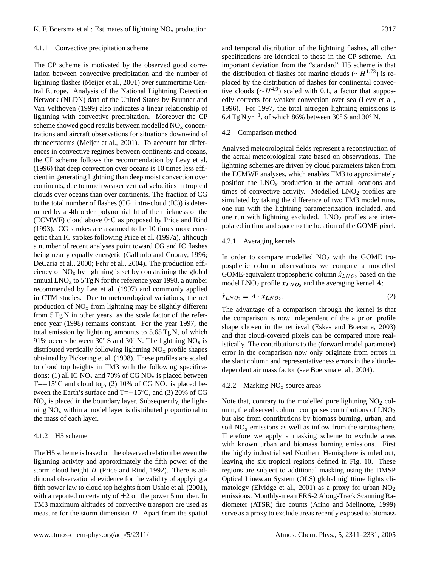#### 4.1.1 Convective precipitation scheme

The CP scheme is motivated by the observed good correlation between convective precipitation and the number of lightning flashes [\(Meijer et al.,](#page-19-20) [2001\)](#page-19-20) over summertime Central Europe. Analysis of the National Lightning Detection Network (NLDN) data of the United States by [Brunner and](#page-18-13) [Van Velthoven](#page-18-13) [\(1999\)](#page-18-13) also indicates a linear relationship of lightning with convective precipitation. Moreover the CP scheme showed good results between modelled  $NO<sub>x</sub>$  concentrations and aircraft observations for situations downwind of thunderstorms [\(Meijer et al.,](#page-19-20) [2001\)](#page-19-20). To account for differences in convective regimes between continents and oceans, the CP scheme follows the recommendation by [Levy et al.](#page-19-4) [\(1996\)](#page-19-4) that deep convection over oceans is 10 times less efficient in generating lightning than deep moist convection over continents, due to much weaker vertical velocities in tropical clouds over oceans than over continents. The fraction of CG to the total number of flashes (CG+intra-cloud (IC)) is determined by a 4th order polynomial fit of the thickness of the (ECMWF) cloud above 0◦C as proposed by [Price and Rind](#page-19-21) [\(1993\)](#page-19-21). CG strokes are assumed to be 10 times more energetic than IC strokes following [Price et al.](#page-19-3) [\(1997a\)](#page-19-3), although a number of recent analyses point toward CG and IC flashes being nearly equally energetic [\(Gallardo and Cooray,](#page-18-14) [1996;](#page-18-14) [DeCaria et al.,](#page-18-15) [2000;](#page-18-15) [Fehr et al.,](#page-18-16) [2004\)](#page-18-16). The production efficiency of  $NO<sub>x</sub>$  by lightning is set by constraining the global annual  $LNO<sub>x</sub>$  to 5 Tg N for the reference year 1998, a number recommended by [Lee et al.](#page-19-22) [\(1997\)](#page-19-22) and commonly applied in CTM studies. Due to meteorological variations, the net production of  $NO<sub>x</sub>$  from lightning may be slightly different from 5 Tg N in other years, as the scale factor of the reference year (1998) remains constant. For the year 1997, the total emission by lightning amounts to 5.65 Tg N, of which 91% occurs between 30 $\degree$  S and 30 $\degree$  N. The lightning NO<sub>x</sub> is distributed vertically following lightning  $NO<sub>x</sub>$  profile shapes obtained by [Pickering et al.](#page-19-14) [\(1998\)](#page-19-14). These profiles are scaled to cloud top heights in TM3 with the following specifications: (1) all IC  $NO<sub>x</sub>$  and 70% of CG  $NO<sub>x</sub>$  is placed between T=−15 $\rm{^{\circ}C}$  and cloud top, (2) 10% of CG NO<sub>x</sub> is placed between the Earth's surface and T=−15◦C, and (3) 20% of CG  $NO<sub>x</sub>$  is placed in the boundary layer. Subsequently, the lightning  $NO<sub>x</sub>$  within a model layer is distributed proportional to the mass of each layer.

## 4.1.2 H5 scheme

The H5 scheme is based on the observed relation between the lightning activity and approximately the fifth power of the storm cloud height  $H$  [\(Price and Rind,](#page-19-15) [1992\)](#page-19-15). There is additional observational evidence for the validity of applying a fifth power law to cloud top heights from [Ushio et al.](#page-19-16) [\(2001\)](#page-19-16), with a reported uncertainty of  $\pm 2$  on the power 5 number. In TM3 maximum altitudes of convective transport are used as measure for the storm dimension  $H$ . Apart from the spatial and temporal distribution of the lightning flashes, all other specifications are identical to those in the CP scheme. An important deviation from the "standard" H5 scheme is that the distribution of flashes for marine clouds ( $∼H^{1.73}$ ) is replaced by the distribution of flashes for continental convective clouds ( $\sim H^{4.9}$ ) scaled with 0.1, a factor that supposedly corrects for weaker convection over sea [\(Levy et al.,](#page-19-4) [1996\)](#page-19-4). For 1997, the total nitrogen lightning emissions is 6.4 Tg N yr−<sup>1</sup> , of which 86% between 30◦ S and 30◦ N.

### 4.2 Comparison method

Analysed meteorological fields represent a reconstruction of the actual meteorological state based on observations. The lightning schemes are driven by cloud parameters taken from the ECMWF analyses, which enables TM3 to approximately position the  $LNO<sub>x</sub>$  production at the actual locations and times of convective activity. Modelled  $LNO<sub>2</sub>$  profiles are simulated by taking the difference of two TM3 model runs, one run with the lightning parameterization included, and one run with lightning excluded.  $LNO<sub>2</sub>$  profiles are interpolated in time and space to the location of the GOME pixel.

#### 4.2.1 Averaging kernels

In order to compare modelled  $NO<sub>2</sub>$  with the GOME tropospheric column observations we compute a modelled GOME-equivalent tropospheric column  $\hat{x}_{LNO_2}$  based on the model  $LNO<sub>2</sub>$  profile  $x_{LNO<sub>2</sub>}$  and the averaging kernel A:

$$
\hat{x}_{LNO_2} = A \cdot x_{LNO_2}.\tag{2}
$$

The advantage of a comparison through the kernel is that the comparison is now independent of the a priori profile shape chosen in the retrieval [\(Eskes and Boersma,](#page-18-8) [2003\)](#page-18-8) and that cloud-covered pixels can be compared more realistically. The contributions to the (forward model parameter) error in the comparison now only originate from errors in the slant column and representativeness errors in the altitudedependent air mass factor (see [Boersma et al.,](#page-18-5) [2004\)](#page-18-5).

# 4.2.2 Masking  $NO<sub>x</sub>$  source areas

Note that, contrary to the modelled pure lightning  $NO<sub>2</sub>$  column, the observed column comprises contributions of  $LNO<sub>2</sub>$ but also from contributions by biomass burning, urban, and soil  $NO<sub>x</sub>$  emissions as well as inflow from the stratosphere. Therefore we apply a masking scheme to exclude areas with known urban and biomass burning emissions. First the highly industrialised Northern Hemisphere is ruled out, leaving the six tropical regions defined in Fig. [10.](#page-12-0) These regions are subject to additional masking using the DMSP Optical Linescan System (OLS) global nighttime lights climatology [\(Elvidge et al.,](#page-18-17) [2001\)](#page-18-17) as a proxy for urban NO<sup>2</sup> emissions. Monthly-mean ERS-2 Along-Track Scanning Radiometer (ATSR) fire counts [\(Arino and Melinotte,](#page-18-18) [1999\)](#page-18-18) serve as a proxy to exclude areas recently exposed to biomass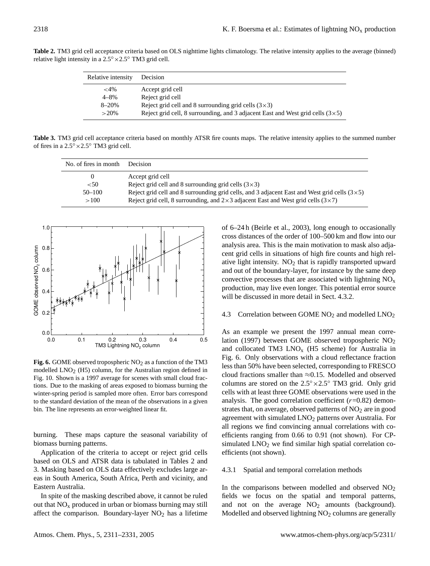<span id="page-7-0"></span>**Table 2.** TM3 grid cell acceptance criteria based on OLS nighttime lights climatology. The relative intensity applies to the average (binned) relative light intensity in a 2.5◦×2.5◦ TM3 grid cell.

| Relative intensity | Decision                                                                              |
|--------------------|---------------------------------------------------------------------------------------|
| ${<}4\%$           | Accept grid cell                                                                      |
| $4 - 8\%$          | Reject grid cell                                                                      |
| $8 - 20%$          | Reject grid cell and 8 surrounding grid cells $(3\times3)$                            |
| $>20\%$            | Reject grid cell, 8 surrounding, and 3 adjacent East and West grid cells $(3\times5)$ |

**Table 3.** TM3 grid cell acceptance criteria based on monthly ATSR fire counts maps. The relative intensity applies to the summed number of fires in a 2.5◦×2.5◦ TM3 grid cell.

<span id="page-7-1"></span>

| No. of fires in month | Decision                                                                                            |
|-----------------------|-----------------------------------------------------------------------------------------------------|
| $\theta$              | Accept grid cell                                                                                    |
| < 50                  | Reject grid cell and 8 surrounding grid cells $(3\times3)$                                          |
| $50 - 100$            | Reject grid cell and 8 surrounding grid cells, and 3 adjacent East and West grid cells $(3\times5)$ |
| >100                  | Reject grid cell, 8 surrounding, and $2\times 3$ adjacent East and West grid cells ( $3\times 7$ )  |



<span id="page-7-2"></span>Fig. 6. GOME observed tropospheric NO<sub>2</sub> as a function of the TM3 modelled LNO<sub>2</sub> (H5) column, for the Australian region defined in Fig. [10.](#page-12-0) Shown is a 1997 average for scenes with small cloud fractions. Due to the masking of areas exposed to biomass burning the winter-spring period is sampled more often. Error bars correspond to the standard deviation of the mean of the observations in a given bin. The line represents an error-weighted linear fit.

burning. These maps capture the seasonal variability of biomass burning patterns.

Application of the criteria to accept or reject grid cells based on OLS and ATSR data is tabulated in Tables [2](#page-7-0) and [3.](#page-7-1) Masking based on OLS data effectively excludes large areas in South America, South Africa, Perth and vicinity, and Eastern Australia.

In spite of the masking described above, it cannot be ruled out that  $NO<sub>x</sub>$  produced in urban or biomass burning may still affect the comparison. Boundary-layer  $NO<sub>2</sub>$  has a lifetime of 6–24 h [\(Beirle et al.,](#page-18-19) [2003\)](#page-18-19), long enough to occasionally cross distances of the order of 100–500 km and flow into our analysis area. This is the main motivation to mask also adjacent grid cells in situations of high fire counts and high relative light intensity.  $NO<sub>2</sub>$  that is rapidly transported upward and out of the boundary-layer, for instance by the same deep convective processes that are associated with lightning  $NO<sub>x</sub>$ production, may live even longer. This potential error source will be discussed in more detail in Sect. [4.3.2.](#page-8-0)

#### 4.3 Correlation between GOME  $NO<sub>2</sub>$  and modelled  $LNO<sub>2</sub>$

As an example we present the 1997 annual mean correlation (1997) between GOME observed tropospheric NO<sup>2</sup> and collocated TM3  $LNO<sub>x</sub>$  (H5 scheme) for Australia in Fig. [6.](#page-7-2) Only observations with a cloud reflectance fraction less than 50% have been selected, corresponding to FRESCO cloud fractions smaller than  $\approx 0.15$ . Modelled and observed columns are stored on the  $2.5° \times 2.5°$  TM3 grid. Only grid cells with at least three GOME observations were used in the analysis. The good correlation coefficient  $(r=0.82)$  demonstrates that, on average, observed patterns of  $NO<sub>2</sub>$  are in good agreement with simulated LNO<sub>2</sub> patterns over Australia. For all regions we find convincing annual correlations with coefficients ranging from 0.66 to 0.91 (not shown). For CPsimulated  $LNO<sub>2</sub>$  we find similar high spatial correlation coefficients (not shown).

## 4.3.1 Spatial and temporal correlation methods

In the comparisons between modelled and observed  $NO<sub>2</sub>$ fields we focus on the spatial and temporal patterns, and not on the average  $NO<sub>2</sub>$  amounts (background). Modelled and observed lightning  $NO<sub>2</sub>$  columns are generally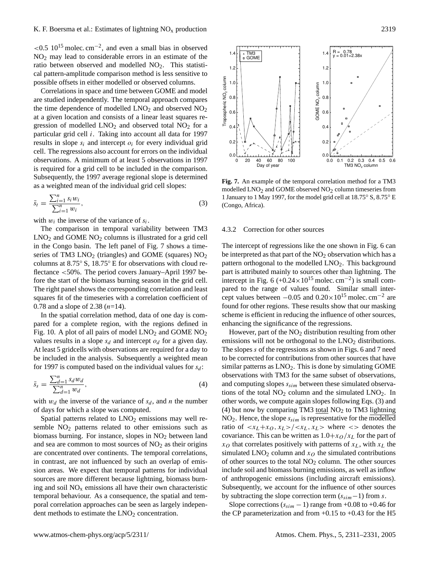$\approx 0.5 \, 10^{15}$  molec. cm<sup>-2</sup>, and even a small bias in observed NO<sup>2</sup> may lead to considerable errors in an estimate of the ratio between observed and modelled  $NO<sub>2</sub>$ . This statistical pattern-amplitude comparison method is less sensitive to possible offsets in either modelled or observed columns.

Correlations in space and time between GOME and model are studied independently. The temporal approach compares the time dependence of modelled  $LNO<sub>2</sub>$  and observed  $NO<sub>2</sub>$ at a given location and consists of a linear least squares regression of modelled  $LNO<sub>2</sub>$  and observed total  $NO<sub>2</sub>$  for a particular grid cell i. Taking into account all data for 1997 results in slope  $s_i$  and intercept  $o_i$  for every individual grid cell. The regressions also account for errors on the individual observations. A minimum of at least 5 observations in 1997 is required for a grid cell to be included in the comparison. Subsequently, the 1997 average regional slope is determined as a weighted mean of the individual grid cell slopes:

<span id="page-8-2"></span>
$$
\bar{s}_t = \frac{\sum_{i=1}^n s_i w_i}{\sum_{i=1}^n w_i},\tag{3}
$$

with  $w_i$  the inverse of the variance of  $s_i$ .

The comparison in temporal variability between TM3  $LNO<sub>2</sub>$  and GOME NO<sub>2</sub> columns is illustrated for a grid cell in the Congo basin. The left panel of Fig. [7](#page-8-1) shows a timeseries of TM3  $LNO<sub>2</sub>$  (triangles) and GOME (squares)  $NO<sub>2</sub>$ columns at 8.75◦ S, 18.75◦ E for observations with cloud reflectance <50%. The period covers January–April 1997 before the start of the biomass burning season in the grid cell. The right panel shows the corresponding correlation and least squares fit of the timeseries with a correlation coefficient of 0.78 and a slope of 2.38  $(n=14)$ .

In the spatial correlation method, data of one day is compared for a complete region, with the regions defined in Fig. [10.](#page-12-0) A plot of all pairs of model  $LNO<sub>2</sub>$  and GOME  $NO<sub>2</sub>$ values results in a slope  $s_d$  and intercept  $o_d$  for a given day. At least 5 gridcells with observations are required for a day to be included in the analysis. Subsequently a weighted mean for 1997 is computed based on the individual values for  $s_d$ :

<span id="page-8-3"></span>
$$
\bar{s}_s = \frac{\sum_{d=1}^n s_d w_d}{\sum_{d=1}^n w_d},\tag{4}
$$

with  $w_d$  the inverse of the variance of  $s_d$ , and n the number of days for which a slope was computed.

Spatial patterns related to  $LNO<sub>2</sub>$  emissions may well resemble  $NO<sub>2</sub>$  patterns related to other emissions such as biomass burning. For instance, slopes in NO<sub>2</sub> between land and sea are common to most sources of  $NO<sub>2</sub>$  as their origins are concentrated over continents. The temporal correlations, in contrast, are not influenced by such an overlap of emission areas. We expect that temporal patterns for individual sources are more different because lightning, biomass burning and soil  $NO<sub>x</sub>$  emissions all have their own characteristic temporal behaviour. As a consequence, the spatial and temporal correlation approaches can be seen as largely independent methods to estimate the LNO<sub>2</sub> concentration.



<span id="page-8-1"></span>**Fig. 7.** An example of the temporal correlation method for a TM3 modelled  $LNO<sub>2</sub>$  and GOME observed  $NO<sub>2</sub>$  column timeseries from 1 January to 1 May 1997, for the model grid cell at 18.75◦ S, 8.75◦ E (Congo, Africa).

#### <span id="page-8-0"></span>4.3.2 Correction for other sources

The intercept of regressions like the one shown in Fig. [6](#page-7-2) can be interpreted as that part of the  $NO<sub>2</sub>$  observation which has a pattern orthogonal to the modelled LNO<sub>2</sub>. This background part is attributed mainly to sources other than lightning. The intercept in Fig. [6](#page-7-2)  $(+0.24 \times 10^{15} \text{ molec. cm}^{-2})$  is small compared to the range of values found. Similar small intercept values between  $-0.05$  and  $0.20 \times 10^{15}$  molec. cm<sup>-2</sup> are found for other regions. These results show that our masking scheme is efficient in reducing the influence of other sources, enhancing the significance of the regressions.

However, part of the  $NO<sub>2</sub>$  distribution resulting from other emissions will not be orthogonal to the  $LNO<sub>2</sub>$  distributions. The slopes s of the regressions as shown in Figs. [6](#page-7-2) and [7](#page-8-1) need to be corrected for contributions from other sources that have similar patterns as  $LNO<sub>2</sub>$ . This is done by simulating GOME observations with TM3 for the same subset of observations, and computing slopes  $s_{sim}$  between these simulated observations of the total  $NO<sub>2</sub>$  column and the simulated  $LNO<sub>2</sub>$ . In other words, we compute again slopes following Eqs. [\(3\)](#page-8-2) and [\(4\)](#page-8-3) but now by comparing TM3 total  $NO<sub>2</sub>$  to TM3 lightning  $NO<sub>2</sub>$ . Hence, the slope  $s<sub>sim</sub>$  is representative for the modelled ratio of  $\langle x_L+x_O, x_L\rangle / \langle x_L, x_L\rangle$  where  $\langle x_L\rangle$  denotes the covariance. This can be written as  $1.0+x_0/x_L$  for the part of  $x_O$  that correlates positively with patterns of  $x_L$ , with  $x_L$  the simulated LNO<sub>2</sub> column and  $x<sub>O</sub>$  the simulated contributions of other sources to the total  $NO<sub>2</sub>$  column. The other sources include soil and biomass burning emissions, as well as inflow of anthropogenic emissions (including aircraft emissions). Subsequently, we account for the influence of other sources by subtracting the slope correction term  $(s_{sim}-1)$  from s.

Slope corrections  $(s_{sim} - 1)$  range from +0.08 to +0.46 for the CP parameterization and from  $+0.15$  to  $+0.43$  for the H5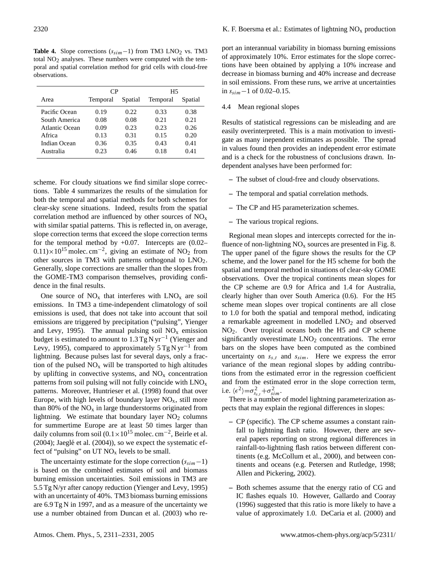<span id="page-9-0"></span>**Table 4.** Slope corrections  $(s_{sim}-1)$  from TM3 LNO<sub>2</sub> vs. TM3 total  $NO<sub>2</sub>$  analyses. These numbers were computed with the temporal and spatial correlation method for grid cells with cloud-free observations.

|                | CP.      |         | H5       |         |  |
|----------------|----------|---------|----------|---------|--|
| Area           | Temporal | Spatial | Temporal | Spatial |  |
| Pacific Ocean  | 0.19     | 0.22.   | 0.33     | 0.38    |  |
| South America  | 0.08     | 0.08    | 0.21     | 0.21    |  |
| Atlantic Ocean | 0.09     | 0.23    | 0.23     | 0.26    |  |
| Africa         | 0.13     | 0.31    | 0.15     | 0.20    |  |
| Indian Ocean   | 0.36     | 0.35    | 0.43     | 0.41    |  |
| Australia      | 0.23     | 0.46    | 0.18     | 0.41    |  |

scheme. For cloudy situations we find similar slope corrections. Table [4](#page-9-0) summarizes the results of the simulation for both the temporal and spatial methods for both schemes for clear-sky scene situations. Indeed, results from the spatial correlation method are influenced by other sources of  $NO<sub>x</sub>$ with similar spatial patterns. This is reflected in, on average, slope correction terms that exceed the slope correction terms for the temporal method by  $+0.07$ . Intercepts are  $(0.02 0.11$ )×10<sup>15</sup> molec. cm<sup>-2</sup>, giving an estimate of NO<sub>2</sub> from other sources in TM3 with patterns orthogonal to  $LNO<sub>2</sub>$ . Generally, slope corrections are smaller than the slopes from the GOME-TM3 comparison themselves, providing confidence in the final results.

One source of  $NO<sub>x</sub>$  that interferes with  $LNO<sub>x</sub>$  are soil emissions. In TM3 a time-independent climatology of soil emissions is used, that does not take into account that soil emissions are triggered by precipitation ("pulsing", [Yienger](#page-20-2) [and Levy,](#page-20-2) [1995\)](#page-20-2). The annual pulsing soil  $NO<sub>x</sub>$  emission budget is estimated to amount to 1.3 Tg N yr<sup>-1</sup> [\(Yienger and](#page-20-2) [Levy,](#page-20-2) [1995\)](#page-20-2), compared to approximately 5 Tg N yr<sup>-1</sup> from lightning. Because pulses last for several days, only a fraction of the pulsed  $NO<sub>x</sub>$  will be transported to high altitudes by uplifting in convective systems, and  $NO<sub>x</sub>$  concentration patterns from soil pulsing will not fully coincide with  $LNO<sub>x</sub>$ patterns. Moreover, [Huntrieser et al.](#page-18-1) [\(1998\)](#page-18-1) found that over Europe, with high levels of boundary layer  $NO<sub>x</sub>$ , still more than 80% of the  $NO<sub>x</sub>$  in large thunderstorms originated from lightning. We estimate that boundary layer  $NO<sub>2</sub>$  columns for summertime Europe are at least 50 times larger than daily columns from soil  $(0.1 \times 10^{15} \text{ molec. cm}^{-2})$ , [Beirle et al.](#page-18-4)  $(2004)$ ; Jaeglé et al.  $(2004)$ ), so we expect the systematic effect of "pulsing" on UT  $NO<sub>x</sub>$  levels to be small.

The uncertainty estimate for the slope correction  $(s_{sim}-1)$ is based on the combined estimates of soil and biomass burning emission uncertainties. Soil emissions in TM3 are 5.5 Tg N/yr after canopy reduction [\(Yienger and Levy,](#page-20-2) [1995\)](#page-20-2) with an uncertainty of 40%. TM3 biomass burning emissions are 6.9 Tg N in 1997, and as a measure of the uncertainty we use a number obtained from [Duncan et al.](#page-18-20) [\(2003\)](#page-18-20) who report an interannual variability in biomass burning emissions of approximately 10%. Error estimates for the slope corrections have been obtained by applying a 10% increase and decrease in biomass burning and 40% increase and decrease in soil emissions. From these runs, we arrive at uncertainties in  $s_{sim}$  −1 of 0.02–0.15.

## 4.4 Mean regional slopes

Results of statistical regressions can be misleading and are easily overinterpreted. This is a main motivation to investigate as many inependent estimates as possible. The spread in values found then provides an independent error estimate and is a check for the robustness of conclusions drawn. Independent analyses have been performed for:

- **–** The subset of cloud-free and cloudy observations.
- **–** The temporal and spatial correlation methods.
- **–** The CP and H5 parameterization schemes.
- **–** The various tropical regions.

Regional mean slopes and intercepts corrected for the influence of non-lightning  $NO<sub>x</sub>$  sources are presented in Fig. [8.](#page-10-0) The upper panel of the figure shows the results for the CP scheme, and the lower panel for the H5 scheme for both the spatial and temporal method in situations of clear-sky GOME observations. Over the tropical continents mean slopes for the CP scheme are 0.9 for Africa and 1.4 for Australia, clearly higher than over South America (0.6). For the H5 scheme mean slopes over tropical continents are all close to 1.0 for both the spatial and temporal method, indicating a remarkable agreement in modelled  $LNO<sub>2</sub>$  and observed NO2. Over tropical oceans both the H5 and CP scheme significantly overestimate  $LNO<sub>2</sub>$  concentrations. The error bars on the slopes have been computed as the combined uncertainty on  $s_{s,t}$  and  $s_{sim}$ . Here we express the error variance of the mean regional slopes by adding contributions from the estimated error in the regression coefficient and from the estimated error in the slope correction term, i.e.  $\langle \epsilon^2 \rangle = \sigma_{s_{s,t}}^2 + \sigma_{sim}^2$ .

There is a number of model lightning parameterization aspects that may explain the regional differences in slopes:

- **–** CP (specific). The CP scheme assumes a constant rainfall to lightning flash ratio. However, there are several papers reporting on strong regional differences in rainfall-to-lightning flash ratios between different continents (e.g. [McCollum et al.,](#page-19-24) [2000\)](#page-19-24), and between continents and oceans (e.g. [Petersen and Rutledge,](#page-19-25) [1998;](#page-19-25) [Allen and Pickering,](#page-18-3) [2002\)](#page-18-3).
- **–** Both schemes assume that the energy ratio of CG and IC flashes equals 10. However, [Gallardo and Cooray](#page-18-14) [\(1996\)](#page-18-14) suggested that this ratio is more likely to have a value of approximately 1.0. [DeCaria et al.](#page-18-15) [\(2000\)](#page-18-15) and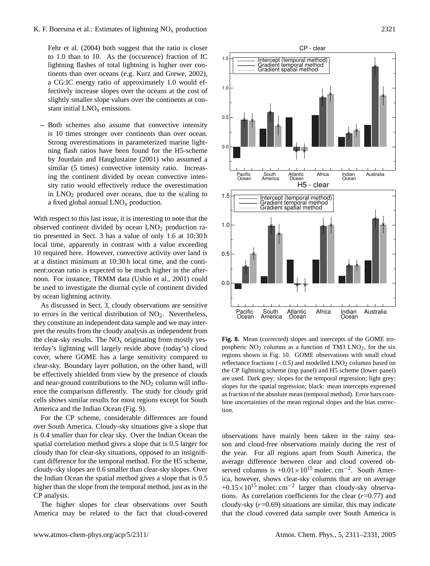# K. F. Boersma et al.: Estimates of lightning  $NO<sub>x</sub>$  production 2321

[Fehr et al.](#page-18-16) [\(2004\)](#page-18-16) both suggest that the ratio is closer to 1.0 than to 10. As the (occurence) fraction of IC lightning flashes of total lightning is higher over continents than over oceans (e.g. [Kurz and Grewe,](#page-19-26) [2002\)](#page-19-26), a CG:IC energy ratio of approximately 1.0 would effectively increase slopes over the oceans at the cost of slightly smaller slope values over the continents at constant initial  $LNO<sub>x</sub>$  emissions.

**–** Both schemes also assume that convective intensity is 10 times stronger over continents than over ocean. Strong overestimations in parameterized marine lightning flash ratios have been found for the H5-scheme by [Jourdain and Hauglustaine](#page-19-27) [\(2001\)](#page-19-27) who assumed a similar (5 times) convective intensity ratio. Increasing the continent divided by ocean convective intensity ratio would effectively reduce the overestimation in  $LNO<sub>2</sub>$  produced over oceans, due to the scaling to a fixed global annual  $LNO<sub>x</sub>$  production.

 $0<sub>0</sub>$ 

0.5

1.0

1.5

Pacific Ocean

 $0.5$ 

1.0

1.5

With respect to this last issue, it is interesting to note that the observed continent divided by ocean  $LNO<sub>2</sub>$  production ratio presented in Sect. [3](#page-3-0) has a value of only 1.6 at 10:30 h local time, apparently in contrast with a value exceeding 10 required here. However, convective activity over land is at a distinct minimum at 10:30 h local time, and the continent:ocean ratio is expected to be much higher in the afternoon. For instance, TRMM data [\(Ushio et al.,](#page-19-16) [2001\)](#page-19-16) could be used to investigate the diurnal cycle of continent divided by ocean lightning activity.

As discussed in Sect. [3,](#page-3-0) cloudy observations are sensitive to errors in the vertical distribution of  $NO<sub>2</sub>$ . Nevertheless, they constitute an independent data sample and we may interpret the results from the cloudy analysis as independent from the clear-sky results. The  $NO<sub>x</sub>$  originating from mostly yesterday's lightning will largely reside above (today's) cloud cover, where GOME has a large sensitivity compared to clear-sky. Boundary layer pollution, on the other hand, will be effectively shielded from view by the presence of clouds and near-ground contributions to the  $NO<sub>2</sub>$  column will influence the comparison differently. The study for cloudy grid cells shows similar results for most regions except for South America and the Indian Ocean (Fig. [9\)](#page-11-2).

For the CP scheme, considerable differences are found over South America. Cloudy-sky situations give a slope that is 0.4 smaller than for clear sky. Over the Indian Ocean the spatial correlation method gives a slope that is 0.5 larger for cloudy than for clear-sky situations, opposed to an insignificant difference for the temporal method. For the H5 scheme, cloudy-sky slopes are 0.6 smaller than clear-sky slopes. Over the Indian Ocean the spatial method gives a slope that is 0.5 higher than the slope from the temporal method, just as in the CP analysis.

The higher slopes for clear observations over South America may be related to the fact that cloud-covered





<span id="page-10-0"></span>are used. Dark grey: slopes for the temporal regression; light grey: slopes for the spatial regression; black: mean intercepts expressed as fraction of the absolute mean (temporal method). Error bars combine uncertainties of the mean regional slopes and the bias correction.

observations have mainly been taken in the rainy season and cloud-free observations mainly during the rest of the year. For all regions apart from South America, the average difference between clear and cloud covered observed columns is  $+0.01 \times 10^{15}$  molec. cm<sup>-2</sup>. South America, however, shows clear-sky columns that are on average +0.15×10<sup>15</sup> molec. cm<sup>-2</sup> larger than cloudy-sky observations. As correlation coefficients for the clear  $(r=0.77)$  and cloudy-sky  $(r=0.69)$  situations are similar, this may indicate that the cloud covered data sample over South America is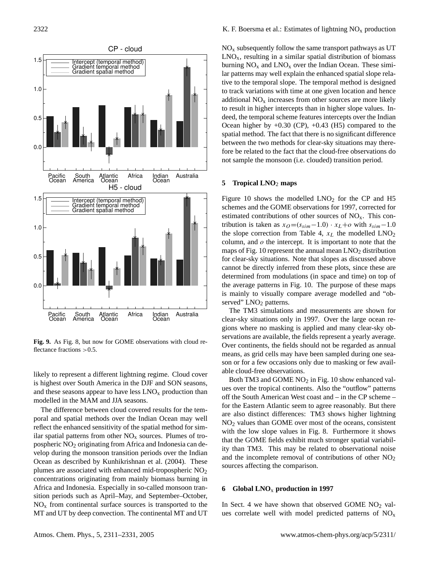

<span id="page-11-2"></span>**Fig. 9.** As Fig. [8,](#page-10-0) but now for GOME observations with cloud reflectance fractions >0.5.

likely to represent a different lightning regime. Cloud cover is highest over South America in the DJF and SON seasons, and these seasons appear to have less  $LNO<sub>x</sub>$  production than modelled in the MAM and JJA seasons.

The difference between cloud covered results for the temporal and spatial methods over the Indian Ocean may well reflect the enhanced sensitivity of the spatial method for similar spatial patterns from other  $NO<sub>x</sub>$  sources. Plumes of tropospheric NO<sup>2</sup> originating from Africa and Indonesia can develop during the monsoon transition periods over the Indian Ocean as described by [Kunhikrishnan et al.](#page-19-28) [\(2004\)](#page-19-28). These plumes are associated with enhanced mid-tropospheric NO<sup>2</sup> concentrations originating from mainly biomass burning in Africa and Indonesia. Especially in so-called monsoon transition periods such as April–May, and September–October,  $NO<sub>x</sub>$  from continental surface sources is transported to the MT and UT by deep convection. The continental MT and UT  $NO<sub>x</sub>$  subsequently follow the same transport pathways as UT  $LNO<sub>x</sub>$ , resulting in a similar spatial distribution of biomass burning  $NO<sub>x</sub>$  and  $LNO<sub>x</sub>$  over the Indian Ocean. These similar patterns may well explain the enhanced spatial slope relative to the temporal slope. The temporal method is designed to track variations with time at one given location and hence additional  $NO<sub>x</sub>$  increases from other sources are more likely to result in higher intercepts than in higher slope values. Indeed, the temporal scheme features intercepts over the Indian Ocean higher by  $+0.30$  (CP),  $+0.43$  (H5) compared to the spatial method. The fact that there is no significant difference between the two methods for clear-sky situations may therefore be related to the fact that the cloud-free observations do not sample the monsoon (i.e. clouded) transition period.

#### <span id="page-11-0"></span>**5 Tropical LNO**<sup>2</sup> **maps**

Figure [10](#page-12-0) shows the modelled  $LNO<sub>2</sub>$  for the CP and H5 schemes and the GOME observations for 1997, corrected for estimated contributions of other sources of  $NO<sub>x</sub>$ . This contribution is taken as  $x_O = (s_{sim} - 1.0) \cdot x_L + o$  with  $s_{sim} - 1.0$ the slope correction from Table [4,](#page-9-0)  $x_L$  the modelled  $LNO_2$ column, and  $o$  the intercept. It is important to note that the maps of Fig. [10](#page-12-0) represent the annual mean  $LNO<sub>2</sub>$  distribution for clear-sky situations. Note that slopes as discussed above cannot be directly inferred from these plots, since these are determined from modulations (in space and time) on top of the average patterns in Fig. [10.](#page-12-0) The purpose of these maps is mainly to visually compare average modelled and "observed" LNO<sub>2</sub> patterns.

The TM3 simulations and measurements are shown for clear-sky situations only in 1997. Over the large ocean regions where no masking is applied and many clear-sky observations are available, the fields represent a yearly average. Over continents, the fields should not be regarded as annual means, as grid cells may have been sampled during one season or for a few occasions only due to masking or few available cloud-free observations.

Both TM3 and GOME  $NO<sub>2</sub>$  in Fig. [10](#page-12-0) show enhanced values over the tropical continents. Also the "outflow" patterns off the South American West coast and – in the CP scheme – for the Eastern Atlantic seem to agree reasonably. But there are also distinct differences: TM3 shows higher lightning NO<sup>2</sup> values than GOME over most of the oceans, consistent with the low slope values in Fig. [8.](#page-10-0) Furthermore it shows that the GOME fields exhibit much stronger spatial variability than TM3. This may be related to observational noise and the incomplete removal of contributions of other  $NO<sub>2</sub>$ sources affecting the comparison.

### <span id="page-11-1"></span>**6 Global LNO**<sup>x</sup> **production in 1997**

In Sect. 4 we have shown that observed GOME  $NO<sub>2</sub>$  values correlate well with model predicted patterns of NO<sub>x</sub>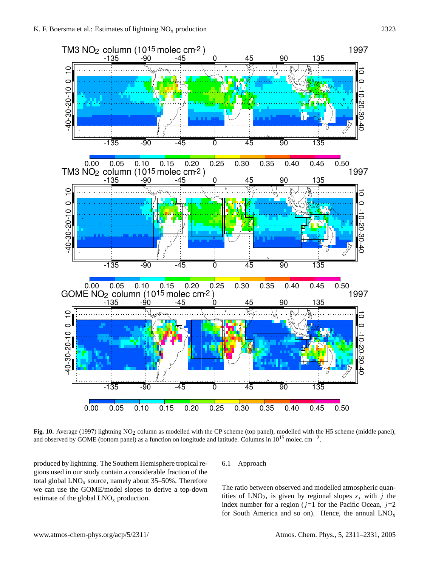

<span id="page-12-0"></span>Fig. 10. Average (1997) lightning NO<sub>2</sub> column as modelled with the CP scheme (top panel), modelled with the H5 scheme (middle panel), and observed by GOME (bottom panel) as a function on longitude and latitude. Columns in  $10^{15}$  molec. cm<sup>-2</sup>.

produced by lightning. The Southern Hemisphere tropical regions used in our study contain a considerable fraction of the total global  $LNO<sub>x</sub>$  source, namely about 35–50%. Therefore we can use the GOME/model slopes to derive a top-down estimate of the global  $LNO<sub>x</sub>$  production.

# 6.1 Approach

The ratio between observed and modelled atmospheric quantities of  $LNO<sub>2</sub>$ , is given by regional slopes  $s<sub>i</sub>$  with j the index number for a region ( $j=1$  for the Pacific Ocean,  $j=2$ for South America and so on). Hence, the annual  $LNO<sub>x</sub>$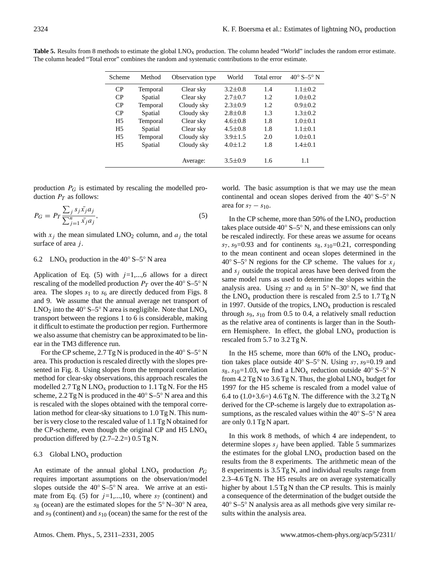| Scheme         | Method   | Observation type | World         | Total error | $40^{\circ}$ S-5 <sup>°</sup> N |
|----------------|----------|------------------|---------------|-------------|---------------------------------|
| CP             | Temporal | Clear sky        | $3.2 \pm 0.8$ | 1.4         | $1.1 \pm 0.2$                   |
| CP             | Spatial  | Clear sky        | $2.7 \pm 0.7$ | 1.2         | $1.0 \pm 0.2$                   |
| CP             | Temporal | Cloudy sky       | $2.3 \pm 0.9$ | 1.2         | $0.9 \pm 0.2$                   |
| CP             | Spatial  | Cloudy sky       | $2.8 \pm 0.8$ | 1.3         | $1.3 \pm 0.2$                   |
| H <sub>5</sub> | Temporal | Clear sky        | $4.6 \pm 0.8$ | 1.8         | $1.0 \pm 0.1$                   |
| H <sub>5</sub> | Spatial  | Clear sky        | $4.5 \pm 0.8$ | 1.8         | $1.1 \pm 0.1$                   |
| H <sub>5</sub> | Temporal | Cloudy sky       | $3.9 \pm 1.5$ | 2.0         | $1.0 \pm 0.1$                   |
| H <sub>5</sub> | Spatial  | Cloudy sky       | $4.0 \pm 1.2$ | 1.8         | $1.4 \pm 0.1$                   |
|                |          |                  |               |             |                                 |
|                |          | Average:         | $3.5 \pm 0.9$ | 1.6         | 1.1                             |

<span id="page-13-1"></span>Table 5. Results from 8 methods to estimate the global LNO<sub>x</sub> production. The column headed "World" includes the random error estimate. The column headed "Total error" combines the random and systematic contributions to the error estimate.

production  $P_G$  is estimated by rescaling the modelled production  $P_T$  as follows:

<span id="page-13-0"></span>
$$
P_G = P_T \frac{\sum_j s_j \bar{x_j} a_j}{\sum_{j=1}^n \bar{x_j} a_j},\tag{5}
$$

with  $x_i$  the mean simulated LNO<sub>2</sub> column, and  $a_i$  the total surface of area  $j$ .

## 6.2 LNO<sub>x</sub> production in the  $40^{\circ}$  S–5° N area

Application of Eq. [\(5\)](#page-13-0) with  $j=1,...,6$  allows for a direct rescaling of the modelled production  $P_T$  over the 40° S–5° N area. The slopes  $s_1$  to  $s_6$  are directly deduced from Figs. [8](#page-10-0) and [9.](#page-11-2) We assume that the annual average net transport of LNO<sub>2</sub> into the 40 $\degree$  S–5 $\degree$  N area is negligible. Note that LNO<sub>x</sub> transport between the regions 1 to 6 is considerable, making it difficult to estimate the production per region. Furthermore we also assume that chemistry can be approximated to be linear in the TM3 difference run.

For the CP scheme,  $2.7$  Tg N is produced in the 40 $\degree$  S–5 $\degree$  N area. This production is rescaled directly with the slopes presented in Fig. [8.](#page-10-0) Using slopes from the temporal correlation method for clear-sky observations, this approach rescales the modelled  $2.7$  Tg N LNO<sub>x</sub> production to  $1.1$  Tg N. For the H5 scheme,  $2.2$  Tg N is produced in the  $40°$  S– $5°$  N area and this is rescaled with the slopes obtained with the temporal correlation method for clear-sky situations to 1.0 Tg N. This number is very close to the rescaled value of 1.1 Tg N obtained for the CP-scheme, even though the original CP and H5  $LNO<sub>x</sub>$ production differed by  $(2.7–2.2=) 0.5$  Tg N.

# 6.3 Global  $LNO<sub>x</sub>$  production

An estimate of the annual global  $LNO<sub>x</sub>$  production  $P<sub>G</sub>$ requires important assumptions on the observation/model slopes outside the  $40° S - 5° N$  area. We arrive at an esti-mate from Eq. [\(5\)](#page-13-0) for  $j=1,...,10$ , where  $s<sub>7</sub>$  (continent) and s<sub>8</sub> (ocean) are the estimated slopes for the  $5°$  N–30<sup>°</sup> N area, and  $s<sub>9</sub>$  (continent) and  $s<sub>10</sub>$  (ocean) the same for the rest of the

world. The basic assumption is that we may use the mean continental and ocean slopes derived from the 40◦ S–5◦ N area for  $s_7 - s_{10}$ .

In the CP scheme, more than 50% of the  $LNO<sub>x</sub>$  production takes place outside  $40° S$ –5° N, and these emissions can only be rescaled indirectly. For these areas we assume for oceans  $s_7$ ,  $s_9=0.93$  and for continents  $s_8$ ,  $s_{10}=0.21$ , corresponding to the mean continent and ocean slopes determined in the 40° S–5° N regions for the CP scheme. The values for  $x_i$ and  $s_i$  outside the tropical areas have been derived from the same model runs as used to determine the slopes within the analysis area. Using  $s_7$  and  $s_8$  in  $5°$  N–30° N, we find that the  $LNO<sub>x</sub>$  production there is rescaled from 2.5 to 1.7 Tg N in 1997. Outside of the tropics,  $LNO<sub>x</sub>$  production is rescaled through  $s_9$ ,  $s_{10}$  from 0.5 to 0.4, a relatively small reduction as the relative area of continents is larger than in the Southern Hemisphere. In effect, the global  $LNO<sub>x</sub>$  production is rescaled from 5.7 to 3.2 Tg N.

In the H5 scheme, more than  $60\%$  of the LNO<sub>x</sub> production takes place outside  $40^{\circ}$  S–5° N. Using  $s_7$ ,  $s_9$ =0.19 and s<sub>8</sub>, s<sub>10</sub>=1.03, we find a LNO<sub>x</sub> reduction outside 40° S–5° N from 4.2 Tg N to 3.6 Tg N. Thus, the global  $LNO<sub>x</sub>$  budget for 1997 for the H5 scheme is rescaled from a model value of 6.4 to  $(1.0+3.6=)$  4.6 Tg N. The difference with the 3.2 Tg N derived for the CP-scheme is largely due to extrapolation assumptions, as the rescaled values within the  $40° S - 5° N$  area are only 0.1 Tg N apart.

In this work 8 methods, of which 4 are independent, to determine slopes  $s_j$  have been applied. Table [5](#page-13-1) summarizes the estimates for the global  $LNO<sub>x</sub>$  production based on the results from the 8 experiments. The arithmetic mean of the 8 experiments is 3.5 Tg N, and individual results range from 2.3–4.6 Tg N. The H5 results are on average systematically higher by about 1.5 Tg N than the CP results. This is mainly a consequence of the determination of the budget outside the 40◦ S–5◦ N analysis area as all methods give very similar results within the analysis area.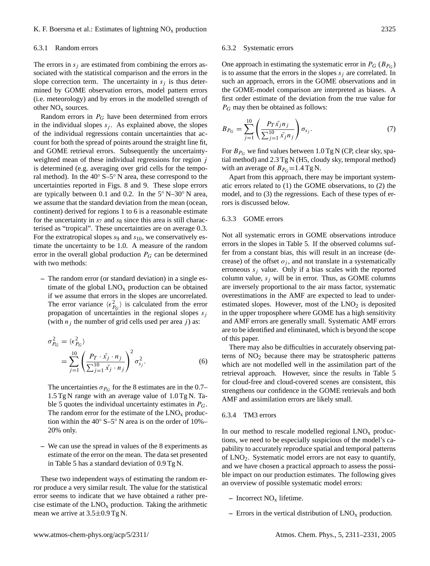# K. F. Boersma et al.: Estimates of lightning  $NO_x$  production 2325

#### 6.3.1 Random errors

The errors in  $s_i$  are estimated from combining the errors associated with the statistical comparison and the errors in the slope correction term. The uncertainty in  $s_i$  is thus determined by GOME observation errors, model pattern errors (i.e. meteorology) and by errors in the modelled strength of other  $NO<sub>x</sub>$  sources.

Random errors in  $P_G$  have been determined from errors in the individual slopes  $s_j$ . As explained above, the slopes of the individual regressions contain uncertainties that account for both the spread of points around the straight line fit, and GOME retrieval errors. Subsequently the uncertaintyweighted mean of these individual regressions for region j is determined (e.g. averaging over grid cells for the temporal method). In the  $40^\circ$  S–5<sup>°</sup> N area, these correspond to the uncertainties reported in Figs. [8](#page-10-0) and [9.](#page-11-2) These slope errors are typically between 0.1 and 0.2. In the  $5°\text{ N} - 30°\text{ N}$  area, we assume that the standard deviation from the mean (ocean, continent) derived for regions 1 to 6 is a reasonable estimate for the uncertainty in  $s<sub>7</sub>$  and  $s<sub>8</sub>$  since this area is still characterised as "tropical". These uncertainties are on average 0.3. For the extratropical slopes  $s_9$  and  $s_{10}$ , we conservatively estimate the uncertainty to be 1.0. A measure of the random error in the overall global production  $P_G$  can be determined with two methods:

**–** The random error (or standard deviation) in a single estimate of the global  $LNO<sub>x</sub>$  production can be obtained if we assume that errors in the slopes are uncorrelated. The error variance  $\langle \epsilon_{P_G}^2 \rangle$  is calculated from the error propagation of uncertainties in the regional slopes  $s_i$ (with  $n_j$  the number of grid cells used per area j) as:

$$
\sigma_{P_G}^2 = \langle \epsilon_{P_G}^2 \rangle
$$
  
= 
$$
\sum_{j=1}^{10} \left( \frac{P_T \cdot \bar{x_j} \cdot n_j}{\sum_{j=1}^{10} \bar{x_j} \cdot n_j} \right)^2 \sigma_{s_j}^2.
$$
 (6)

The uncertainties  $\sigma_{P_G}$  for the 8 estimates are in the 0.7– 1.5 Tg N range with an average value of 1.0 Tg N. Ta-ble [5](#page-13-1) quotes the individual uncertainty estimates in  $P_G$ . The random error for the estimate of the  $LNO<sub>x</sub>$  production within the 40◦ S–5◦ N area is on the order of 10%– 20% only.

**–** We can use the spread in values of the 8 experiments as estimate of the error on the mean. The data set presented in Table [5](#page-13-1) has a standard deviation of 0.9 Tg N.

These two independent ways of estimating the random error produce a very similar result. The value for the statistical error seems to indicate that we have obtained a rather precise estimate of the  $LNO<sub>x</sub>$  production. Taking the arithmetic mean we arrive at 3.5±0.9 Tg N.

#### 6.3.2 Systematic errors

One approach in estimating the systematic error in  $P_G (B_{P_G})$ is to assume that the errors in the slopes  $s_i$  are correlated. In such an approach, errors in the GOME observations and in the GOME-model comparison are interpreted as biases. A first order estimate of the deviation from the true value for  $P_G$  may then be obtained as follows:

$$
B_{P_G} = \sum_{j=1}^{10} \left( \frac{P_T \bar{x_j} n_j}{\sum_{j=1}^{10} \bar{x_j} n_j} \right) \sigma_{s_j}.
$$
 (7)

For  $B_{P_G}$  we find values between 1.0 Tg N (CP, clear sky, spatial method) and 2.3 Tg N (H5, cloudy sky, temporal method) with an average of  $B_{P_G} = 1.4$  Tg N.

Apart from this approach, there may be important systematic errors related to (1) the GOME observations, to (2) the model, and to (3) the regressions. Each of these types of errors is discussed below.

## 6.3.3 GOME errors

Not all systematic errors in GOME observations introduce errors in the slopes in Table [5.](#page-13-1) If the observed columns suffer from a constant bias, this will result in an increase (decrease) of the offset  $o_i$ , and not translate in a systematically erroneous  $s_i$  value. Only if a bias scales with the reported column value,  $s_i$  will be in error. Thus, as GOME columns are inversely proportional to the air mass factor, systematic overestimations in the AMF are expected to lead to underestimated slopes. However, most of the  $LNO<sub>2</sub>$  is deposited in the upper troposphere where GOME has a high sensitivity and AMF errors are generally small. Systematic AMF errors are to be identified and eliminated, which is beyond the scope of this paper.

There may also be difficulties in accurately observing patterns of  $NO<sub>2</sub>$  because there may be stratospheric patterns which are not modelled well in the assimilation part of the retrieval approach. However, since the results in Table [5](#page-13-1) for cloud-free and cloud-covered scenes are consistent, this strengthens our confidence in the GOME retrievals and both AMF and assimilation errors are likely small.

## 6.3.4 TM3 errors

In our method to rescale modelled regional  $LNO<sub>x</sub>$  productions, we need to be especially suspicious of the model's capability to accurately reproduce spatial and temporal patterns of LNO2. Systematic model errors are not easy to quantify, and we have chosen a practical approach to assess the possible impact on our production estimates. The following gives an overview of possible systematic model errors:

- **–** Incorrect NO<sup>x</sup> lifetime.
- **–** Errors in the vertical distribution of LNO<sup>x</sup> production.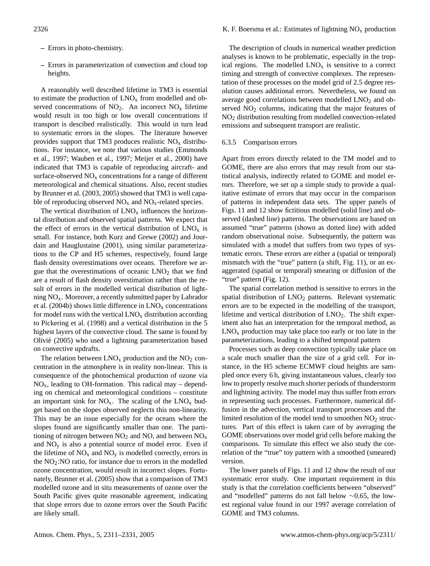- **–** Errors in photo-chemistry.
- **–** Errors in parameterization of convection and cloud top heights.

A reasonably well described lifetime in TM3 is essential to estimate the production of  $LNO<sub>x</sub>$  from modelled and observed concentrations of  $NO<sub>2</sub>$ . An incorrect  $NO<sub>x</sub>$  lifetime would result in too high or low overall concentrations if transport is descibed realistically. This would in turn lead to systematic errors in the slopes. The literature however provides support that TM3 produces realistic  $NO<sub>x</sub>$  distributions. For instance, we note that various studies [\(Emmonds](#page-18-21) [et al.,](#page-18-21) [1997;](#page-18-21) [Wauben et al.,](#page-20-3) [1997;](#page-20-3) [Meijer et al.,](#page-19-19) [2000\)](#page-19-19) have indicated that TM3 is capable of reproducing aircraft- and surface-observed  $NO<sub>x</sub>$  concentrations for a range of different meteorological and chemical situations. Also, recent studies by [Brunner et al.](#page-18-11) [\(2003,](#page-18-11) [2005\)](#page-18-12) showed that TM3 is well capable of reproducing observed  $NO<sub>x</sub>$  and  $NO<sub>x</sub>$ -related species.

The vertical distribution of  $LNO<sub>x</sub>$  influences the horizontal distribution and observed spatial patterns. We expect that the effect of errors in the vertical distribution of  $LNO<sub>x</sub>$  is small. For instance, both [Kurz and Grewe](#page-19-26) [\(2002\)](#page-19-26) and [Jour](#page-19-27)[dain and Hauglustaine](#page-19-27) [\(2001\)](#page-19-27), using similar parameterizations to the CP and H5 schemes, respectively, found large flash density overestimations over oceans. Therefore we argue that the overestimations of oceanic  $LNO<sub>2</sub>$  that we find are a result of flash density overstimation rather than the result of errors in the modelled vertical distribution of lightning  $NO<sub>x</sub>$ . Moreover, a recently submitted paper by [Labrador](#page-19-29) [et al.](#page-19-29) [\(2004b\)](#page-19-29) shows little difference in  $LNO<sub>x</sub>$  concentrations for model runs with the vertical  $LNO<sub>x</sub>$  distribution according to Pickering et al. (1998) and a vertical distribution in the 5 highest layers of the convective cloud. The same is found by Olivie (2005) who used a lightning parameterization based ´ on convective updrafts.

The relation between  $LNO<sub>x</sub>$  production and the  $NO<sub>2</sub>$  concentration in the atmosphere is in reality non-linear. This is consequence of the photochemical production of ozone via  $NO<sub>x</sub>$ , leading to OH-formation. This radical may – depending on chemical and meteorological conditions – constitute an important sink for  $NO_x$ . The scaling of the  $LNO_x$  budget based on the slopes observed neglects this non-linearity. This may be an issue especially for the oceans where the slopes found are significantly smaller than one. The partitioning of nitrogen between  $NO<sub>2</sub>$  and NO, and between  $NO<sub>x</sub>$ and  $NO<sub>v</sub>$  is also a potential source of model error. Even if the lifetime of  $NO<sub>x</sub>$  and  $NO<sub>y</sub>$  is modelled correctly, errors in the  $NO<sub>2</sub>:NO$  ratio, for instance due to errors in the modelled ozone concentration, would result in incorrect slopes. Fortunately, [Brunner et al.](#page-18-12) [\(2005\)](#page-18-12) show that a comparison of TM3 modelled ozone and in situ measurements of ozone over the South Pacific gives quite reasonable agreement, indicating that slope errors due to ozone errors over the South Pacific are likely small.

The description of clouds in numerical weather prediction analyses is known to be problematic, especially in the tropical regions. The modelled  $LNO<sub>x</sub>$  is sensitive to a correct timing and strength of convective complexes. The representation of these processes on the model grid of 2.5 degree resolution causes additional errors. Nevertheless, we found on average good correlations between modelled LNO<sub>2</sub> and observed  $NO<sub>2</sub>$  columns, indicating that the major features of NO<sup>2</sup> distribution resulting from modelled convection-related emissions and subsequent transport are realistic.

#### 6.3.5 Comparison errors

Apart from errors directly related to the TM model and to GOME, there are also errors that may result from our statistical analysis, indirectly related to GOME and model errors. Therefore, we set up a simple study to provide a qualitative estimate of errors that may occur in the comparison of patterns in independent data sets. The upper panels of Figs. [11](#page-16-0) and [12](#page-16-1) show fictitious modelled (solid line) and observed (dashed line) patterns. The observations are based on assumed "true" patterns (shown as dotted line) with added random observational noise. Subsequently, the pattern was simulated with a model that suffers from two types of systematic errors. These errors are either a (spatial or temporal) mismatch with the "true" pattern (a shift, Fig. [11\)](#page-16-0), or an exaggerated (spatial or temporal) smearing or diffusion of the "true" pattern (Fig. [12\)](#page-16-1).

The spatial correlation method is sensitive to errors in the spatial distribution of LNO<sub>2</sub> patterns. Relevant systematic errors are to be expected in the modelling of the transport, lifetime and vertical distribution of  $LNO<sub>2</sub>$ . The shift experiment also has an interpretation for the temporal method, as  $LNO<sub>x</sub>$  production may take place too early or too late in the parameterizations, leading to a shifted temporal pattern

Processes such as deep convection typically take place on a scale much smaller than the size of a grid cell. For instance, in the H5 scheme ECMWF cloud heights are sampled once every 6 h, giving instantaneous values, clearly too low to properly resolve much shorter periods of thunderstorm and lightning activity. The model may thus suffer from errors in representing such processes. Furthermore, numerical diffusion in the advection, vertical transport processes and the limited resolution of the model tend to smoothen  $NO<sub>2</sub>$  structures. Part of this effect is taken care of by averaging the GOME observations over model grid cells before making the comparisons. To simulate this effect we also study the correlation of the "true" toy pattern with a smoothed (smeared) version.

The lower panels of Figs. [11](#page-16-0) and [12](#page-16-1) show the result of our systematic error study. One important requirement in this study is that the correlation coefficients between "observed" and "modelled" patterns do not fall below ∼0.65, the lowest regional value found in our 1997 average correlation of GOME and TM3 columns.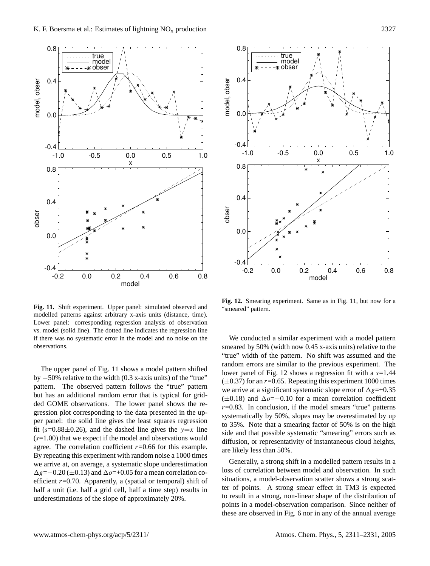



<span id="page-16-0"></span>**Fig. 11.** Shift experiment. Upper panel: simulated observed and modelled patterns against arbitrary x-axis units (distance, time). Lower panel: corresponding regression analysis of observation vs. model (solid line). The dotted line indicates the regression line if there was no systematic error in the model and no noise on the observations.

The upper panel of Fig. [11](#page-16-0) shows a model pattern shifted by −50% relative to the width (0.3 x-axis units) of the "true" pattern. The observed pattern follows the "true" pattern but has an additional random error that is typical for gridded GOME observations. The lower panel shows the regression plot corresponding to the data presented in the upper panel: the solid line gives the least squares regression fit (s=0.88 $\pm$ 0.26), and the dashed line gives the y=x line  $(s=1.00)$  that we expect if the model and observations would agree. The correlation coefficient  $r=0.66$  for this example. By repeating this experiment with random noise a 1000 times we arrive at, on average, a systematic slope underestimation  $\Delta g$ =−0.20 (±0.13) and  $\Delta$ *o*=+0.05 for a mean correlation coefficient  $r=0.70$ . Apparently, a (spatial or temporal) shift of half a unit (i.e. half a grid cell, half a time step) results in underestimations of the slope of approximately 20%.

<span id="page-16-1"></span>**Fig. 12.** Smearing experiment. Same as in Fig. [11,](#page-16-0) but now for a "smeared" pattern.

We conducted a similar experiment with a model pattern smeared by 50% (width now 0.45 x-axis units) relative to the "true" width of the pattern. No shift was assumed and the random errors are similar to the previous experiment. The lower panel of Fig. [12](#page-16-1) shows a regression fit with a  $s=1.44$  $(\pm 0.37)$  for an  $r=0.65$ . Repeating this experiment 1000 times we arrive at a significant systematic slope error of  $\Delta g=+0.35$ ( $\pm 0.18$ ) and  $\Delta \phi = -0.10$  for a mean correlation coefficient  $r=0.83$ . In conclusion, if the model smears "true" patterns systematically by 50%, slopes may be overestimated by up to 35%. Note that a smearing factor of 50% is on the high side and that possible systematic "smearing" errors such as diffusion, or representativity of instantaneous cloud heights, are likely less than 50%.

Generally, a strong shift in a modelled pattern results in a loss of correlation between model and observation. In such situations, a model-observation scatter shows a strong scatter of points. A strong smear effect in TM3 is expected to result in a strong, non-linear shape of the distribution of points in a model-observation comparison. Since neither of these are observed in Fig. [6](#page-7-2) nor in any of the annual average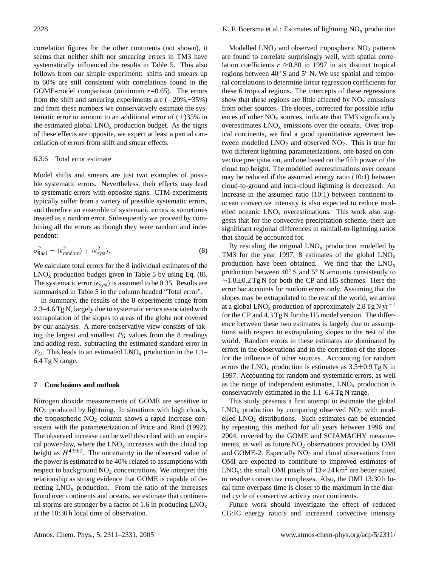correlation figures for the other continents (not shown), it seems that neither shift nor smearing errors in TM3 have systematically influenced the results in Table [5.](#page-13-1) This also follows from our simple experiment: shifts and smears up to 60% are still consistent with correlations found in the GOME-model comparison (minimum  $r=0.65$ ). The errors from the shift and smearing experiments are  $(-20\%, +35\%)$ and from these numbers we conservatively estimate the systematic error to amount to an additional error of  $(\pm)35\%$  in the estimated global  $LNO<sub>x</sub>$  production budget. As the signs of these effects are opposite, we expect at least a partial cancellation of errors from shift and smear effects.

## 6.3.6 Total error estimate

Model shifts and smears are just two examples of possible systematic errors. Nevertheless, their effects may lead to systematic errors with opposite signs. CTM-experiments typically suffer from a variety of possible systematic errors, and therefore an ensemble of systematic errors is sometimes treated as a random error. Subsequently we proceed by combining all the errors as though they were random and independent:

<span id="page-17-0"></span>
$$
\sigma_{\text{final}}^2 = \langle \epsilon_{\text{random}}^2 \rangle + \langle \epsilon_{\text{syst}}^2 \rangle. \tag{8}
$$

We calculate total errors for the 8 individual estimates of the  $LNO<sub>x</sub>$  production budget given in Table [5](#page-13-1) by using Eq. [\(8\)](#page-17-0). The systematic error  $\langle \epsilon_{syst} \rangle$  is assumed to be 0.35. Results are summarised in Table [5](#page-13-1) in the column headed "Total error".

In summary, the results of the 8 experiments range from 2.3–4.6 Tg N, largely due to systematic errors associated with extrapolation of the slopes to areas of the globe not covered by our analysis. A more conservative view consists of taking the largest and smallest  $P_G$  values from the 8 readings and adding resp. subtracting the estimated standard error in  $P_G$ . This leads to an estimated  $LNO<sub>x</sub>$  production in the 1.1– 6.4 Tg N range.

#### **7 Conclusions and outlook**

Nitrogen dioxide measurements of GOME are sensitive to NO<sup>2</sup> produced by lightning. In situations with high clouds, the tropospheric  $NO<sub>2</sub>$  column shows a rapid increase consistent with the parameterization of [Price and Rind](#page-19-15) [\(1992\)](#page-19-15). The observed increase can be well described with an empirical power-law, where the  $LNO<sub>x</sub>$  increases with the cloud top height as  $H^{4.9\pm2}$ . The uncertainty in the observed value of the power is estimated to be 40% related to assumptions with respect to background  $NO<sub>2</sub>$  concentrations. We interpret this relationship as strong evidence that GOME is capable of detecting  $LNO<sub>x</sub>$  production. From the ratio of the increases found over continents and oceans, we estimate that continental storms are stronger by a factor of 1.6 in producing  $LNO<sub>x</sub>$ at the 10:30 h local time of observation.

Modelled  $LNO<sub>2</sub>$  and observed tropospheric  $NO<sub>2</sub>$  patterns are found to correlate surprisingly well, with spatial correlation coefficients  $r \approx 0.80$  in 1997 in six distinct tropical regions between 40◦ S and 5◦ N. We use spatial and temporal correlations to determine linear regression coefficients for these 6 tropical regions. The intercepts of these regressions show that these regions are little affected by  $NO<sub>x</sub>$  emissions from other sources. The slopes, corrected for possible influences of other  $NO<sub>x</sub>$  sources, indicate that TM3 significantly overestimates  $LNO<sub>x</sub>$  emissions over the oceans. Over tropical continents, we find a good quantitative agreement between modelled  $LNO<sub>2</sub>$  and observed  $NO<sub>2</sub>$ . This is true for two different lightning parameterizations, one based on convective precipitation, and one based on the fifth power of the cloud top height. The modelled overestimations over oceans may be reduced if the assumed energy ratio (10:1) between cloud-to-ground and intra-cloud lightning is decreased. An increase in the assumed ratio (10:1) between continent-toocean convective intensity is also expected to reduce modelled oceanic  $LNO<sub>x</sub>$  overestimations. This work also suggests that for the convective precipitation scheme, there are significant regional differences in rainfall-to-lightning ratios that should be accounted for.

By rescaling the original  $LNO<sub>x</sub>$  production modelled by TM3 for the year 1997, 8 estimates of the global  $LNO<sub>x</sub>$ production have been obtained. We find that the  $LNO<sub>x</sub>$ production between 40◦ S and 5◦ N amounts consistently to  $∼1.0±0.2$  Tg N for both the CP and H5 schemes. Here the error bar accounts for random errors only. Assuming that the slopes may be extrapolated to the rest of the world, we arrive at a global LNO<sub>x</sub> production of approximately 2.8 Tg N yr<sup>-1</sup> for the CP and 4.3 Tg N for the H5 model version. The difference between these two estimates is largely due to assumptions with respect to extrapolating slopes to the rest of the world. Random errors in these estimates are dominated by errors in the observations and in the correction of the slopes for the influence of other sources. Accounting for random errors the LNO<sub>x</sub> production is estimates as  $3.5\pm0.9$  Tg N in 1997. Accounting for random and systematic errors, as well as the range of independent estimates,  $LNO<sub>x</sub>$  production is conservatively estimated in the 1.1–6.4 Tg N range.

This study presents a first attempt to estimate the global  $LNO<sub>x</sub>$  production by comparing observed  $NO<sub>2</sub>$  with modelled  $LNO<sub>2</sub>$  distributions. Such estimates can be extended by repeating this method for all years between 1996 and 2004, covered by the GOME and SCIAMACHY measurements, as well as future  $NO<sub>2</sub>$  observations provided by OMI and GOME-2. Especially  $NO<sub>2</sub>$  and cloud observations from OMI are expected to contribute to improved estimates of LNO<sub>x</sub>: the small OMI pixels of  $13 \times 24$  km<sup>2</sup> are better suited to resolve convective complexes. Also, the OMI 13:30 h local time overpass time is closer to the maximum in the diurnal cycle of convective activity over continents.

Future work should investigate the effect of reduced CG:IC energy ratio's and increased convective intensity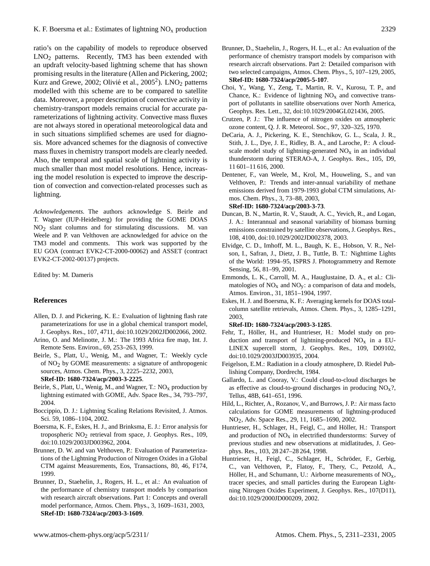ratio's on the capability of models to reproduce observed LNO<sup>2</sup> patterns. Recently, TM3 has been extended with an updraft velocity-based lightning scheme that has shown promising results in the literature (Allen and Pickering, 2002; Kurz and Grewe, 2002; Olivié et al.,  $2005^2$ ).  $LNO<sub>2</sub>$  patterns modelled with this scheme are to be compared to satellite data. Moreover, a proper description of convective activity in chemistry-transport models remains crucial for accurate parameterizations of lightning activity. Convective mass fluxes are not always stored in operational meteorological data and in such situations simplified schemes are used for diagnosis. More advanced schemes for the diagnosis of convective mass fluxes in chemistry transport models are clearly needed. Also, the temporal and spatial scale of lightning activity is much smaller than most model resolutions. Hence, increasing the model resolution is expected to improve the description of convection and convection-related processes such as lightning.

*Acknowledgements.* The authors acknowledge S. Beirle and T. Wagner (IUP-Heidelberg) for providing the GOME DOAS  $NO<sub>2</sub>$  slant columns and for stimulating discussions. M. van Weele and P. van Velthoven are acknowledged for advice on the TM3 model and comments. This work was supported by the EU GOA (contract EVK2-CT-2000-00062) and ASSET (contract EVK2-CT-2002-00137) projects.

Edited by: M. Dameris

# **References**

- <span id="page-18-3"></span>Allen, D. J. and Pickering, K. E.: Evaluation of lightning flash rate parameterizations for use in a global chemical transport model, J. Geophys. Res., 107, 4711, doi:10.1029/2002JD002066, 2002.
- <span id="page-18-18"></span>Arino, O. and Melinotte, J. M.: The 1993 Africa fire map, Int. J. Remote Sens. Environ., 69, 253–263, 1999.
- <span id="page-18-19"></span>Beirle, S., Platt, U., Wenig, M., and Wagner, T.: Weekly cycle of NO2 by GOME measurements: a signature of anthropogenic sources, Atmos. Chem. Phys., 3, 2225–2232, 2003, **[SRef-ID: 1680-7324/acp/2003-3-2225](http://direct.sref.org/1680-7324/acp/2003-3-2225)**.
- <span id="page-18-4"></span>Beirle, S., Platt, U., Wenig, M., and Wagner, T.:  $NO<sub>x</sub>$  production by lightning estimated with GOME, Adv. Space Res., 34, 793–797, 2004.
- Boccippio, D. J.: Lightning Scaling Relations Revisited, J. Atmos. Sci. 59, 1086–1104, 2002.
- <span id="page-18-5"></span>Boersma, K. F., Eskes, H. J., and Brinksma, E. J.: Error analysis for tropospheric NO2 retrieval from space, J. Geophys. Res., 109, doi:10.1029/2003JD003962, 2004.
- <span id="page-18-13"></span>Brunner, D. W. and van Velthoven, P.: Evaluation of Parameterizations of the Lightning Production of Nitrogen Oxides in a Global CTM against Measurements, Eos, Transactions, 80, 46, F174, 1999.
- <span id="page-18-11"></span>Brunner, D., Staehelin, J., Rogers, H. L., et al.: An evaluation of the performance of chemistry transport models by comparison with research aircraft observations. Part 1: Concepts and overall model performance, Atmos. Chem. Phys., 3, 1609–1631, 2003, **[SRef-ID: 1680-7324/acp/2003-3-1609](http://direct.sref.org/1680-7324/acp/2003-3-1609)**.
- <span id="page-18-12"></span>Brunner, D., Staehelin, J., Rogers, H. L., et al.: An evaluation of the performance of chemistry transport models by comparison with research aircraft observations. Part 2: Detailed comparison with two selected campaigns, Atmos. Chem. Phys., 5, 107–129, 2005, **[SRef-ID: 1680-7324/acp/2005-5-107](http://direct.sref.org/1680-7324/acp/2005-5-107)**.
- <span id="page-18-6"></span>Choi, Y., Wang, Y., Zeng, T., Martin, R. V., Kurosu, T. P., and Chance, K.: Evidence of lightning  $NO<sub>x</sub>$  and convective transport of pollutants in satellite observations over North America, Geophys. Res. Lett., 32, doi:10.1029/2004GL021436, 2005.
- <span id="page-18-0"></span>Crutzen, P. J.: The influence of nitrogen oxides on atmospheric ozone content, Q. J. R. Meteorol. Soc., 97, 320–325, 1970.
- <span id="page-18-15"></span>DeCaria, A. J., Pickering, K. E., Stenchikov, G. L., Scala, J. R., Stith, J. L., Dye, J. E., Ridley, B. A., and Laroche, P.: A cloudscale model study of lightning-generated  $NO<sub>x</sub>$  in an individual thunderstorm during STERAO-A, J. Geophys. Res., 105, D9, 11 601–11 616, 2000.
- <span id="page-18-9"></span>Dentener, F., van Weele, M., Krol, M., Houweling, S., and van Velthoven, P.: Trends and inter-annual variability of methane emissions derived from 1979-1993 global CTM simulations, Atmos. Chem. Phys., 3, 73–88, 2003,
	- **[SRef-ID: 1680-7324/acp/2003-3-73](http://direct.sref.org/1680-7324/acp/2003-3-73)**.
- <span id="page-18-20"></span>Duncan, B. N., Martin, R. V., Staudt, A. C., Yevich, R., and Logan, J. A.: Interannual and seasonal variability of biomass burning emissions constrained by satellite observations, J. Geophys. Res., 108, 4100, doi:10.1029/2002JD002378, 2003.
- <span id="page-18-17"></span>Elvidge, C. D., Imhoff, M. L., Baugh, K. E., Hobson, V. R., Nelson, I., Safran, J., Dietz, J. B., Tuttle, B. T.: Nighttime Lights of the World: 1994–95, ISPRS J. Photogrammetry and Remote Sensing, 56, 81–99, 2001.
- <span id="page-18-21"></span>Emmonds, L. K., Carroll, M. A., Hauglustaine, D. A., et al.: Climatologies of  $NO<sub>x</sub>$  and  $NO<sub>y</sub>$ : a comparison of data and models, Atmos. Environ., 31, 1851–1904, 1997.
- <span id="page-18-8"></span>Eskes, H. J. and Boersma, K. F.: Averaging kernels for DOAS totalcolumn satellite retrievals, Atmos. Chem. Phys., 3, 1285–1291, 2003,

**[SRef-ID: 1680-7324/acp/2003-3-1285](http://direct.sref.org/1680-7324/acp/2003-3-1285)**.

- <span id="page-18-16"></span>Fehr, T., Höller, H., and Huntrieser, H.: Model study on production and transport of lightning-produced  $NO<sub>x</sub>$  in a EU-LINEX supercell storm, J. Geophys. Res., 109, D09102, doi:10.1029/2003JD003935, 2004.
- <span id="page-18-10"></span>Feigelson, E.M.: Radiation in a cloudy atmosphere, D. Riedel Publishing Company, Dordrecht, 1984.
- <span id="page-18-14"></span>Gallardo, L. and Cooray, V.: Could cloud-to-cloud discharges be as effective as cloud-to-ground discharges in producing  $NO<sub>x</sub>$ ?, Tellus, 48B, 641–651, 1996.
- <span id="page-18-7"></span>Hild, L., Richter, A., Rozanov, V., and Burrows, J. P.: Air mass facto calculations for GOME measurements of lightning-produced NO2, Adv. Space Res., 29, 11, 1685–1690, 2002.
- <span id="page-18-1"></span>Huntrieser, H., Schlager, H., Feigl, C., and Höller, H.: Transport and production of  $NO<sub>x</sub>$  in electrified thunderstorms: Survey of previous studies and new observations at midlatitudes, J. Geophys. Res., 103, 28 247–28 264, 1998.
- <span id="page-18-2"></span>Huntrieser, H., Feigl, C., Schlager, H., Schröder, F., Gerbig, C., van Velthoven, P., Flatoy, F., Thery, C., Petzold, A., Höller, H., and Schumann, U.: Airborne measurements of  $NO<sub>x</sub>$ , tracer species, and small particles during the European Lightning Nitrogen Oxides Experiment, J. Geophys. Res., 107(D11), doi:10.1029/2000JD000209, 2002.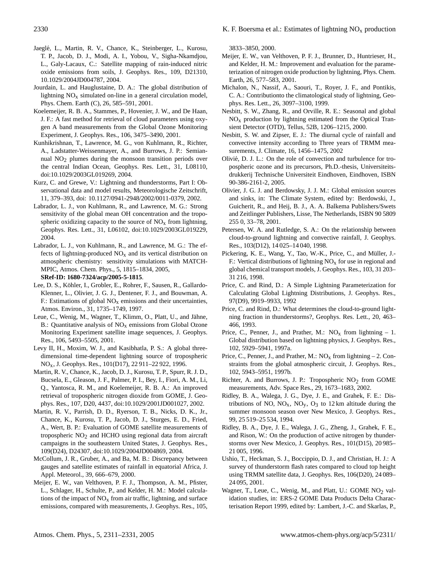- <span id="page-19-23"></span>Jaegle, L., Martin, R. V., Chance, K., Steinberger, L., Kurosu, ´ T. P., Jacob, D. J., Modi, A. I., Yobou, V., Sigha-Nkamdjou, L., Galy-Lacaux, C.: Satellite mapping of rain-induced nitric oxide emissions from soils, J. Geophys. Res., 109, D21310, 10.1029/2004JD004787, 2004.
- <span id="page-19-27"></span>Jourdain, L. and Hauglustaine, D. A.: The global distribution of lightning  $NO<sub>x</sub>$  simulated on-line in a general circulation model, Phys. Chem. Earth (C), 26, 585–591, 2001.
- <span id="page-19-10"></span>Koelemeijer, R. B. A., Stammes, P., Hovenier, J. W., and De Haan, J. F.: A fast method for retrieval of cloud parameters using oxygen A band measurements from the Global Ozone Monitoring Experiment, J. Geophys. Res., 106, 3475–3490, 2001.
- <span id="page-19-28"></span>Kunhikrishnan, T., Lawrence, M. G., von Kuhlmann, R., Richter, A., Ladstatter-Weissenmayer, A., and Burrows, J. P.: Semiannual NO2 plumes during the monsoon transition periods over the central Indian Ocean, Geophys. Res. Lett., 31, L08110, doi:10.1029/2003GL019269, 2004.
- <span id="page-19-26"></span>Kurz, C. and Grewe, V.: Lightning and thunderstorms, Part I: Observational data and model results, Meteorologische Zeitschrift, 11, 379–393, doi: 10.1127/0941-2948/2002/0011-0379, 2002.
- <span id="page-19-0"></span>Labrador, L. J., von Kuhlmann, R., and Lawrence, M. G.: Strong sensitivity of the global mean OH concentration and the tropospheric oxidizing capacity to the source of  $NO<sub>x</sub>$  from lightning, Geophys. Res. Lett., 31, L06102, doi:10.1029/2003GL019229, 2004.
- <span id="page-19-29"></span>Labrador, L. J., von Kuhlmann, R., and Lawrence, M. G.: The effects of lightning-produced  $NO<sub>x</sub>$  and its vertical distribution on atmospheric chemistry: sensitivity simulations with MATCH-MPIC, Atmos. Chem. Phys., 5, 1815–1834, 2005,

#### **[SRef-ID: 1680-7324/acp/2005-5-1815](http://direct.sref.org/1680-7324/acp/2005-5-1815)**.

- <span id="page-19-22"></span>Lee, D. S., Köhler, I., Grobler, E., Rohrer, F., Sausen, R., Gallardo-Klenner, L., Olivier, J. G. J., Dentener, F. J., and Bouwman, A. F.: Estimations of global  $NO<sub>x</sub>$  emissions and their uncertainties, Atmos. Environ., 31, 1735–1749, 1997.
- <span id="page-19-7"></span>Leue, C., Wenig, M., Wagner, T., Klimm, O., Platt, U., and Jähne, B.: Quantitative analysis of  $NO<sub>x</sub>$  emissions from Global Ozone Monitoring Experiment satellite image sequences, J. Geophys. Res., 106, 5493–5505, 2001.
- <span id="page-19-4"></span>Levy II, H., Moxim, W. J., and Kasibhatla, P. S.: A global threedimensional time-dependent lightning source of tropospheric NOx, J. Geophys. Res., 101(D17), 22 911–22 922, 1996.
- <span id="page-19-9"></span>Martin, R. V., Chance, K., Jacob, D. J., Kurosu, T. P., Spurr, R. J. D., Bucsela, E., Gleason, J. F., Palmer, P. I., Bey, I., Fiori, A. M., Li, Q., Yantosca, R. M., and Koelemeijer, R. B. A.: An improved retrieval of tropospheric nitrogen dioxide from GOME, J. Geophys. Res., 107, D20, 4437, doi:10.1029/2001JD001027, 2002.
- <span id="page-19-12"></span>Martin, R. V., Parrish, D. D., Ryerson, T. B., Nicks, D. K., Jr., Chance, K., Kurosu, T. P., Jacob, D. J., Sturges, E. D., Fried, A., Wert, B. P.: Evaluation of GOME satellite measurements of tropospheric  $NO<sub>2</sub>$  and HCHO using regional data from aircraft campaigns in the southeastern United States, J. Geophys. Res., 109(D24), D24307, doi:10.1029/2004JD004869, 2004.
- <span id="page-19-24"></span>McCollum, J. R., Gruber, A., and Ba, M. B.: Discrepancy between gauges and satellite estimates of rainfall in equatorial Africa, J. Appl. Meteorol., 39, 666–679, 2000.
- <span id="page-19-19"></span>Meijer, E. W., van Velthoven, P. F. J., Thompson, A. M., Pfister, L., Schlager, H., Schulte, P., and Kelder, H. M.: Model calculations of the impact of  $NO<sub>x</sub>$  from air traffic, lightning, and surface emissions, compared with measurements, J. Geophys. Res., 105,

3833–3850, 2000.

- <span id="page-19-20"></span>Meijer, E. W., van Velthoven, P. F. J., Brunner, D., Huntrieser, H., and Kelder, H. M.: Improvement and evaluation for the parameterization of nitrogen oxide production by lightning, Phys. Chem. Earth, 26, 577–583, 2001.
- <span id="page-19-17"></span>Michalon, N., Nassif, A., Saouri, T., Royer, J. F., and Pontikis, C. A.: Contributionto the climatological study of lightning, Geophys. Res. Lett., 26, 3097–3100, 1999.
- <span id="page-19-2"></span>Nesbitt, S. W., Zhang, R., and Orville, R. E.: Seasonal and global  $NO<sub>x</sub>$  production by lightning estimated from the Optical Transient Detector (OTD), Tellus, 52B, 1206–1215, 2000.
- <span id="page-19-18"></span>Nesbitt, S. W. and Zipser, E. J.: The diurnal cycle of rainfall and convective intensity according to Three years of TRMM measurements, J. Climate, 16, 1456–1475, 2002
- Olivié, D. J. L.: On the role of convection and turbulence for tropospheric ozone and its precursors, Ph.D.-thesis, Universiteitsdrukkerij Technische Universiteit Eindhoven, Eindhoven, ISBN 90-386-2161-2, 2005.
- <span id="page-19-1"></span>Olivier, J. G. J. and Berdowsky, J. J. M.: Global emission sources and sinks, in: The Climate System, edited by: Berdowski, J., Guicherit, R., and Heij, B. J., A. A. Balkema Publishers/Swets and Zeitlinger Publishers, Lisse, The Netherlands, ISBN 90 5809 255 0, 33–78, 2001.
- <span id="page-19-25"></span>Petersen, W. A. and Rutledge, S. A.: On the relationship between cloud-to-ground lightning and convective rainfall, J. Geophys. Res., 103(D12), 14 025–14 040, 1998.
- <span id="page-19-14"></span>Pickering, K. E., Wang, Y., Tao, W.-K., Price, C., and Müller, J.-F.: Vertical distributions of lightning  $NO<sub>x</sub>$  for use in regional and global chemical transport models, J. Geophys. Res., 103, 31 203– 31 216, 1998.
- <span id="page-19-15"></span>Price, C. and Rind, D.: A Simple Lightning Parameterization for Calculating Global Lightning Distributions, J. Geophys. Res., 97(D9), 9919–9933, 1992
- <span id="page-19-21"></span>Price, C. and Rind, D.: What determines the cloud-to-ground lightning fraction in thunderstorms?, Geophys. Res. Lett., 20, 463– 466, 1993.
- <span id="page-19-3"></span>Price, C., Penner, J., and Prather, M.:  $NO<sub>x</sub>$  from lightning – 1. Global distribution based on lightning physics, J. Geophys. Res., 102, 5929–5941, 1997a.
- <span id="page-19-6"></span>Price, C., Penner, J., and Prather, M.:  $NO<sub>x</sub>$  from lightning – 2. Constraints from the global atmospheric circuit, J. Geophys. Res., 102, 5943–5951, 1997b.
- <span id="page-19-8"></span>Richter, A. and Burrows, J. P.: Tropospheric  $NO<sub>2</sub>$  from GOME measurements, Adv. Space Res., 29, 1673–1683, 2002.
- <span id="page-19-13"></span>Ridley, B. A., Walega, J. G., Dye, J. E., and Grahek, F. E.: Distributions of NO,  $NO<sub>x</sub>$ ,  $NO<sub>y</sub>$ ,  $O<sub>3</sub>$  to 12 km altitude during the summer monsoon season over New Mexico, J. Geophys. Res., 99, 25 519–25 534, 1994.
- <span id="page-19-5"></span>Ridley, B. A., Dye, J. E., Walega, J. G., Zheng, J., Grahek, F. E., and Rison, W.: On the production of active nitrogen by thunderstorms over New Mexico, J. Geophys. Res., 101(D15), 20 985– 21 005, 1996.
- <span id="page-19-16"></span>Ushio, T., Heckman, S. J., Boccippio, D. J., and Christian, H. J.: A survey of thunderstorm flash rates compared to cloud top height using TRMM satellite data, J. Geophys. Res, 106(D20), 24 089– 24 095, 2001.
- <span id="page-19-11"></span>Wagner, T., Leue, C., Wenig, M., and Platt, U.: GOME NO<sub>2</sub> validation studies, in: ERS-2 GOME Data Products Delta Characterisation Report 1999, edited by: Lambert, J.-C. and Skarlas, P.,